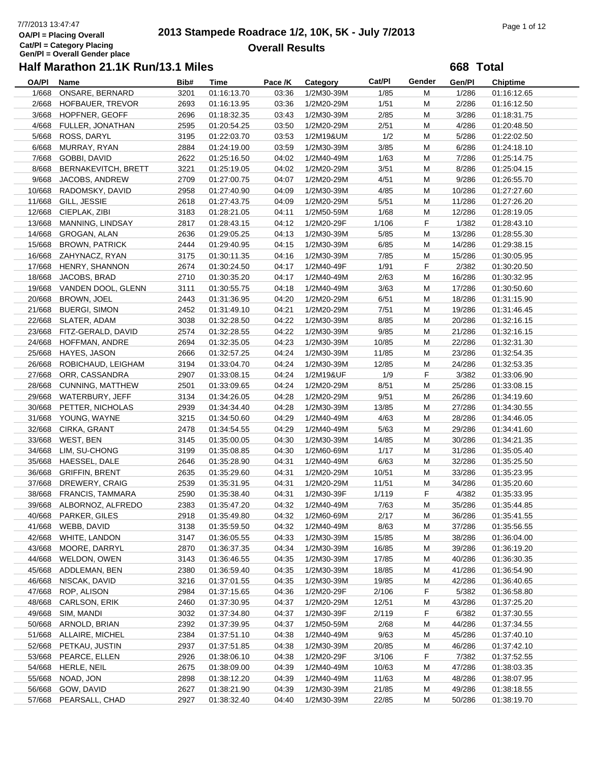# 7/7/2013 13:47:47<br> **2013 Stampede Roadrace 1/2, 10K, 5K - July 7/2013** Page 1 of 12<br> **Page 1 of 12 Overall Results**

**668 Total**

| OA/PI  | Name                      | Bib# | Time        | Pace /K | Category   | Cat/Pl | Gender | Gen/Pl | <b>Chiptime</b> |
|--------|---------------------------|------|-------------|---------|------------|--------|--------|--------|-----------------|
| 1/668  | ONSARE, BERNARD           | 3201 | 01:16:13.70 | 03:36   | 1/2M30-39M | 1/85   | M      | 1/286  | 01:16:12.65     |
| 2/668  | HOFBAUER, TREVOR          | 2693 | 01:16:13.95 | 03:36   | 1/2M20-29M | 1/51   | M      | 2/286  | 01:16:12.50     |
| 3/668  | HOPFNER, GEOFF            | 2696 | 01:18:32.35 | 03:43   | 1/2M30-39M | 2/85   | M      | 3/286  | 01:18:31.75     |
| 4/668  | FULLER, JONATHAN          | 2595 | 01:20:54.25 | 03:50   | 1/2M20-29M | 2/51   | M      | 4/286  | 01:20:48.50     |
| 5/668  | ROSS, DARYL               | 3195 | 01:22:03.70 | 03:53   | 1/2M19&UM  | 1/2    | M      | 5/286  | 01:22:02.50     |
| 6/668  | MURRAY, RYAN              | 2884 | 01:24:19.00 | 03:59   | 1/2M30-39M | 3/85   | M      | 6/286  | 01:24:18.10     |
| 7/668  | GOBBI, DAVID              | 2622 | 01:25:16.50 | 04:02   | 1/2M40-49M | 1/63   | M      | 7/286  | 01:25:14.75     |
| 8/668  | BERNAKEVITCH, BRETT       | 3221 | 01:25:19.05 | 04:02   | 1/2M20-29M | 3/51   | M      | 8/286  | 01:25:04.15     |
| 9/668  | JACOBS, ANDREW            | 2709 | 01:27:00.75 | 04:07   | 1/2M20-29M | 4/51   | M      | 9/286  | 01:26:55.70     |
| 10/668 | RADOMSKY, DAVID           | 2958 | 01:27:40.90 | 04:09   | 1/2M30-39M | 4/85   | M      | 10/286 | 01:27:27.60     |
| 11/668 | GILL, JESSIE              | 2618 | 01:27:43.75 | 04:09   | 1/2M20-29M | 5/51   | M      | 11/286 | 01:27:26.20     |
| 12/668 | CIEPLAK, ZIBI             | 3183 | 01:28:21.05 | 04:11   | 1/2M50-59M | 1/68   | M      | 12/286 | 01:28:19.05     |
| 13/668 | MANNING, LINDSAY          | 2817 | 01:28:43.15 | 04:12   | 1/2M20-29F | 1/106  | F      | 1/382  | 01:28:43.10     |
|        | 14/668 GROGAN, ALAN       | 2636 | 01:29:05.25 | 04:13   | 1/2M30-39M | 5/85   | M      | 13/286 | 01:28:55.30     |
| 15/668 | <b>BROWN, PATRICK</b>     | 2444 | 01:29:40.95 | 04:15   | 1/2M30-39M | 6/85   | M      | 14/286 | 01:29:38.15     |
| 16/668 | ZAHYNACZ, RYAN            | 3175 | 01:30:11.35 | 04:16   | 1/2M30-39M | 7/85   | M      | 15/286 | 01:30:05.95     |
| 17/668 | HENRY, SHANNON            | 2674 | 01:30:24.50 | 04:17   | 1/2M40-49F | 1/91   | F      | 2/382  | 01:30:20.50     |
|        |                           |      |             |         |            |        |        |        |                 |
| 18/668 | JACOBS, BRAD              | 2710 | 01:30:35.20 | 04:17   | 1/2M40-49M | 2/63   | M      | 16/286 | 01:30:32.95     |
| 19/668 | VANDEN DOOL, GLENN        | 3111 | 01:30:55.75 | 04:18   | 1/2M40-49M | 3/63   | M      | 17/286 | 01:30:50.60     |
| 20/668 | BROWN, JOEL               | 2443 | 01:31:36.95 | 04:20   | 1/2M20-29M | 6/51   | M      | 18/286 | 01:31:15.90     |
|        | 21/668 BUERGI, SIMON      | 2452 | 01:31:49.10 | 04:21   | 1/2M20-29M | 7/51   | M      | 19/286 | 01:31:46.45     |
|        | 22/668 SLATER, ADAM       | 3038 | 01:32:28.50 | 04:22   | 1/2M30-39M | 8/85   | M      | 20/286 | 01:32:16.15     |
|        | 23/668 FITZ-GERALD, DAVID | 2574 | 01:32:28.55 | 04:22   | 1/2M30-39M | 9/85   | M      | 21/286 | 01:32:16.15     |
|        | 24/668 HOFFMAN, ANDRE     | 2694 | 01:32:35.05 | 04:23   | 1/2M30-39M | 10/85  | M      | 22/286 | 01:32:31.30     |
| 25/668 | HAYES, JASON              | 2666 | 01:32:57.25 | 04:24   | 1/2M30-39M | 11/85  | M      | 23/286 | 01:32:54.35     |
| 26/668 | ROBICHAUD, LEIGHAM        | 3194 | 01:33:04.70 | 04:24   | 1/2M30-39M | 12/85  | M      | 24/286 | 01:32:53.35     |
| 27/668 | ORR, CASSANDRA            | 2907 | 01:33:08.15 | 04:24   | 1/2M19&UF  | 1/9    | F      | 3/382  | 01:33:06.90     |
| 28/668 | CUNNING, MATTHEW          | 2501 | 01:33:09.65 | 04:24   | 1/2M20-29M | 8/51   | M      | 25/286 | 01:33:08.15     |
|        | 29/668 WATERBURY, JEFF    | 3134 | 01:34:26.05 | 04:28   | 1/2M20-29M | 9/51   | M      | 26/286 | 01:34:19.60     |
|        | 30/668 PETTER, NICHOLAS   | 2939 | 01:34:34.40 | 04:28   | 1/2M30-39M | 13/85  | M      | 27/286 | 01:34:30.55     |
| 31/668 | YOUNG, WAYNE              | 3215 | 01:34:50.60 | 04:29   | 1/2M40-49M | 4/63   | M      | 28/286 | 01:34:46.05     |
| 32/668 | CIRKA, GRANT              | 2478 | 01:34:54.55 | 04:29   | 1/2M40-49M | 5/63   | M      | 29/286 | 01:34:41.60     |
| 33/668 | WEST, BEN                 | 3145 | 01:35:00.05 | 04:30   | 1/2M30-39M | 14/85  | M      | 30/286 | 01:34:21.35     |
| 34/668 | LIM, SU-CHONG             | 3199 | 01:35:08.85 | 04:30   | 1/2M60-69M | 1/17   | M      | 31/286 | 01:35:05.40     |
| 35/668 | HAESSEL, DALE             | 2646 | 01:35:28.90 | 04:31   | 1/2M40-49M | 6/63   | M      | 32/286 | 01:35:25.50     |
| 36/668 | <b>GRIFFIN, BRENT</b>     | 2635 | 01:35:29.60 | 04:31   | 1/2M20-29M | 10/51  | M      | 33/286 | 01:35:23.95     |
| 37/668 | DREWERY, CRAIG            | 2539 | 01:35:31.95 | 04:31   | 1/2M20-29M | 11/51  | M      | 34/286 | 01:35:20.60     |
|        | 38/668 FRANCIS, TAMMARA   | 2590 | 01:35:38.40 | 04:31   | 1/2M30-39F | 1/119  | F      | 4/382  | 01:35:33.95     |
|        | 39/668 ALBORNOZ, ALFREDO  | 2383 | 01:35:47.20 | 04:32   | 1/2M40-49M | 7/63   | M      | 35/286 | 01:35:44.85     |
|        | 40/668 PARKER, GILES      | 2918 | 01:35:49.80 | 04:32   | 1/2M60-69M | 2/17   | M      | 36/286 | 01:35:41.55     |
| 41/668 | WEBB, DAVID               | 3138 | 01:35:59.50 | 04:32   | 1/2M40-49M | 8/63   | M      | 37/286 | 01:35:56.55     |
| 42/668 | WHITE, LANDON             | 3147 | 01:36:05.55 | 04:33   | 1/2M30-39M | 15/85  | M      | 38/286 | 01:36:04.00     |
| 43/668 | MOORE, DARRYL             | 2870 | 01:36:37.35 | 04:34   | 1/2M30-39M | 16/85  | M      | 39/286 | 01:36:19.20     |
| 44/668 | WELDON, OWEN              | 3143 | 01:36:46.55 | 04:35   | 1/2M30-39M | 17/85  | M      | 40/286 | 01:36:30.35     |
| 45/668 | ADDLEMAN, BEN             | 2380 | 01:36:59.40 | 04:35   | 1/2M30-39M | 18/85  | M      | 41/286 | 01:36:54.90     |
| 46/668 | NISCAK, DAVID             | 3216 | 01:37:01.55 | 04:35   | 1/2M30-39M | 19/85  | M      | 42/286 | 01:36:40.65     |
| 47/668 | ROP, ALISON               | 2984 | 01:37:15.65 | 04:36   | 1/2M20-29F | 2/106  | F      | 5/382  | 01:36:58.80     |
| 48/668 | <b>CARLSON, ERIK</b>      | 2460 | 01:37:30.95 | 04:37   | 1/2M20-29M | 12/51  | M      | 43/286 | 01:37:25.20     |
| 49/668 | SIM, MANDI                | 3032 | 01:37:34.80 |         | 1/2M30-39F |        |        | 6/382  |                 |
|        |                           |      |             | 04:37   |            | 2/119  | F      |        | 01:37:30.55     |
| 50/668 | ARNOLD, BRIAN             | 2392 | 01:37:39.95 | 04:37   | 1/2M50-59M | 2/68   | M      | 44/286 | 01:37:34.55     |
| 51/668 | ALLAIRE, MICHEL           | 2384 | 01:37:51.10 | 04:38   | 1/2M40-49M | 9/63   | M      | 45/286 | 01:37:40.10     |
|        | 52/668 PETKAU, JUSTIN     | 2937 | 01:37:51.85 | 04:38   | 1/2M30-39M | 20/85  | M      | 46/286 | 01:37:42.10     |
|        | 53/668 PEARCE, ELLEN      | 2926 | 01:38:06.10 | 04:38   | 1/2M20-29F | 3/106  | F      | 7/382  | 01:37:52.55     |
|        | 54/668 HERLE, NEIL        | 2675 | 01:38:09.00 | 04:39   | 1/2M40-49M | 10/63  | M      | 47/286 | 01:38:03.35     |
| 55/668 | NOAD, JON                 | 2898 | 01:38:12.20 | 04:39   | 1/2M40-49M | 11/63  | M      | 48/286 | 01:38:07.95     |
| 56/668 | GOW, DAVID                | 2627 | 01:38:21.90 | 04:39   | 1/2M30-39M | 21/85  | M      | 49/286 | 01:38:18.55     |
| 57/668 | PEARSALL, CHAD            | 2927 | 01:38:32.40 | 04:40   | 1/2M30-39M | 22/85  | M      | 50/286 | 01:38:19.70     |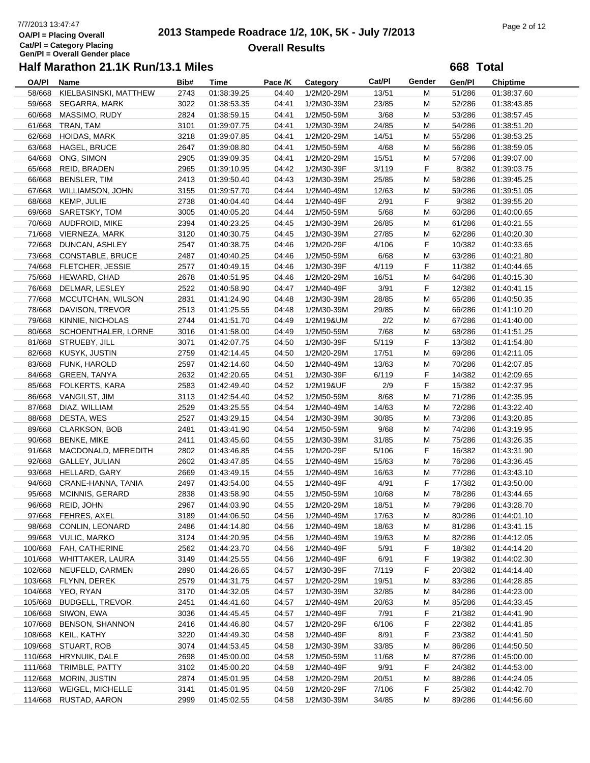# 7/7/2013 13:47:47<br> **2013 Stampede Roadrace 1/2, 10K, 5K - July 7/2013** Page 2 of 12<br> **Page 2 of 12 Overall Results**

**668 Total**

| OA/PI   | Name                       | Bib# | Time        | Pace /K | Category   | Cat/Pl | Gender | Gen/Pl | <b>Chiptime</b> |
|---------|----------------------------|------|-------------|---------|------------|--------|--------|--------|-----------------|
| 58/668  | KIELBASINSKI, MATTHEW      | 2743 | 01:38:39.25 | 04:40   | 1/2M20-29M | 13/51  | M      | 51/286 | 01:38:37.60     |
| 59/668  | SEGARRA, MARK              | 3022 | 01:38:53.35 | 04:41   | 1/2M30-39M | 23/85  | M      | 52/286 | 01:38:43.85     |
| 60/668  | MASSIMO, RUDY              | 2824 | 01:38:59.15 | 04:41   | 1/2M50-59M | 3/68   | M      | 53/286 | 01:38:57.45     |
| 61/668  | TRAN, TAM                  | 3101 | 01:39:07.75 | 04:41   | 1/2M30-39M | 24/85  | M      | 54/286 | 01:38:51.20     |
| 62/668  | <b>HOIDAS, MARK</b>        | 3218 | 01:39:07.85 | 04:41   | 1/2M20-29M | 14/51  | М      | 55/286 | 01:38:53.25     |
| 63/668  | <b>HAGEL, BRUCE</b>        | 2647 | 01:39:08.80 | 04:41   | 1/2M50-59M | 4/68   | M      | 56/286 | 01:38:59.05     |
|         | 64/668 ONG, SIMON          | 2905 | 01:39:09.35 | 04:41   | 1/2M20-29M | 15/51  | M      | 57/286 | 01:39:07.00     |
|         | 65/668 REID, BRADEN        | 2965 |             | 04:42   | 1/2M30-39F | 3/119  | F      | 8/382  |                 |
| 66/668  | BENSLER, TIM               |      | 01:39:10.95 |         |            |        |        |        | 01:39:03.75     |
|         |                            | 2413 | 01:39:50.40 | 04:43   | 1/2M30-39M | 25/85  | М      | 58/286 | 01:39:45.25     |
| 67/668  | WILLIAMSON, JOHN           | 3155 | 01:39:57.70 | 04:44   | 1/2M40-49M | 12/63  | M      | 59/286 | 01:39:51.05     |
| 68/668  | KEMP, JULIE                | 2738 | 01:40:04.40 | 04:44   | 1/2M40-49F | 2/91   | F      | 9/382  | 01:39:55.20     |
|         | 69/668 SARETSKY, TOM       | 3005 | 01:40:05.20 | 04:44   | 1/2M50-59M | 5/68   | M      | 60/286 | 01:40:00.65     |
|         | 70/668 AUDFROID, MIKE      | 2394 | 01:40:23.25 | 04:45   | 1/2M30-39M | 26/85  | М      | 61/286 | 01:40:21.55     |
|         | 71/668 VIERNEZA, MARK      | 3120 | 01:40:30.75 | 04:45   | 1/2M30-39M | 27/85  | M      | 62/286 | 01:40:20.30     |
| 72/668  | DUNCAN, ASHLEY             | 2547 | 01:40:38.75 | 04:46   | 1/2M20-29F | 4/106  | F      | 10/382 | 01:40:33.65     |
|         | 73/668 CONSTABLE, BRUCE    | 2487 | 01:40:40.25 | 04:46   | 1/2M50-59M | 6/68   | M      | 63/286 | 01:40:21.80     |
|         | 74/668 FLETCHER, JESSIE    | 2577 | 01:40:49.15 | 04:46   | 1/2M30-39F | 4/119  | F      | 11/382 | 01:40:44.65     |
| 75/668  | HEWARD, CHAD               | 2678 | 01:40:51.95 | 04:46   | 1/2M20-29M | 16/51  | М      | 64/286 | 01:40:15.30     |
| 76/668  | DELMAR, LESLEY             | 2522 | 01:40:58.90 | 04:47   | 1/2M40-49F | 3/91   | F      | 12/382 | 01:40:41.15     |
| 77/668  | MCCUTCHAN, WILSON          | 2831 | 01:41:24.90 | 04:48   | 1/2M30-39M | 28/85  | M      | 65/286 | 01:40:50.35     |
| 78/668  | DAVISON, TREVOR            | 2513 | 01:41:25.55 | 04:48   | 1/2M30-39M | 29/85  | М      | 66/286 | 01:41:10.20     |
|         | 79/668 KINNIE, NICHOLAS    | 2744 | 01:41:51.70 | 04:49   | 1/2M19&UM  | 2/2    | M      | 67/286 | 01:41:40.00     |
|         | 80/668 SCHOENTHALER, LORNE | 3016 | 01:41:58.00 | 04:49   | 1/2M50-59M | 7/68   | M      | 68/286 | 01:41:51.25     |
|         | 81/668 STRUEBY, JILL       | 3071 | 01:42:07.75 | 04:50   | 1/2M30-39F | 5/119  | F      | 13/382 | 01:41:54.80     |
| 82/668  | KUSYK, JUSTIN              | 2759 | 01:42:14.45 | 04:50   | 1/2M20-29M | 17/51  | М      | 69/286 | 01:42:11.05     |
| 83/668  | FUNK, HAROLD               | 2597 | 01:42:14.60 | 04:50   | 1/2M40-49M | 13/63  | M      | 70/286 | 01:42:07.85     |
| 84/668  | GREEN, TANYA               | 2632 | 01:42:20.65 | 04:51   | 1/2M30-39F | 6/119  | F      | 14/382 | 01:42:09.65     |
| 85/668  | FOLKERTS, KARA             | 2583 | 01:42:49.40 | 04:52   | 1/2M19&UF  | 2/9    | F      | 15/382 | 01:42:37.95     |
|         |                            |      |             |         |            |        |        |        |                 |
|         | 86/668 VANGILST, JIM       | 3113 | 01:42:54.40 | 04:52   | 1/2M50-59M | 8/68   | M      | 71/286 | 01:42:35.95     |
| 87/668  | DIAZ, WILLIAM              | 2529 | 01:43:25.55 | 04:54   | 1/2M40-49M | 14/63  | M      | 72/286 | 01:43:22.40     |
| 88/668  | DESTA, WES                 | 2527 | 01:43:29.15 | 04:54   | 1/2M30-39M | 30/85  | M      | 73/286 | 01:43:20.85     |
| 89/668  | CLARKSON, BOB              | 2481 | 01:43:41.90 | 04:54   | 1/2M50-59M | 9/68   | M      | 74/286 | 01:43:19.95     |
| 90/668  | <b>BENKE, MIKE</b>         | 2411 | 01:43:45.60 | 04:55   | 1/2M30-39M | 31/85  | М      | 75/286 | 01:43:26.35     |
| 91/668  | MACDONALD, MEREDITH        | 2802 | 01:43:46.85 | 04:55   | 1/2M20-29F | 5/106  | F      | 16/382 | 01:43:31.90     |
| 92/668  | GALLEY, JULIAN             | 2602 | 01:43:47.85 | 04:55   | 1/2M40-49M | 15/63  | M      | 76/286 | 01:43:36.45     |
| 93/668  | HELLARD, GARY              | 2669 | 01:43:49.15 | 04:55   | 1/2M40-49M | 16/63  | M      | 77/286 | 01:43:43.10     |
| 94/668  | CRANE-HANNA, TANIA         | 2497 | 01:43:54.00 | 04:55   | 1/2M40-49F | 4/91   | F      | 17/382 | 01:43:50.00     |
| 95/668  | <b>MCINNIS, GERARD</b>     | 2838 | 01:43:58.90 | 04:55   | 1/2M50-59M | 10/68  | M      | 78/286 | 01:43:44.65     |
|         | 96/668 REID, JOHN          | 2967 | 01:44:03.90 | 04:55   | 1/2M20-29M | 18/51  | M      | 79/286 | 01:43:28.70     |
|         | 97/668 FEHRES, AXEL        | 3189 | 01:44:06.50 | 04:56   | 1/2M40-49M | 17/63  | м      | 80/286 | 01:44:01.10     |
| 98/668  | CONLIN, LEONARD            | 2486 | 01:44:14.80 | 04:56   | 1/2M40-49M | 18/63  | M      | 81/286 | 01:43:41.15     |
|         | 99/668 VULIC, MARKO        | 3124 | 01:44:20.95 | 04:56   | 1/2M40-49M | 19/63  | M      | 82/286 | 01:44:12.05     |
| 100/668 | FAH, CATHERINE             | 2562 | 01:44:23.70 | 04:56   | 1/2M40-49F | 5/91   | F      | 18/382 | 01:44:14.20     |
|         | 101/668 WHITTAKER, LAURA   | 3149 | 01:44:25.55 | 04:56   | 1/2M40-49F | 6/91   | F      | 19/382 | 01:44:02.30     |
| 102/668 | NEUFELD, CARMEN            | 2890 | 01:44:26.65 | 04:57   | 1/2M30-39F | 7/119  | F      | 20/382 | 01:44:14.40     |
| 103/668 | FLYNN, DEREK               | 2579 | 01:44:31.75 | 04:57   | 1/2M20-29M | 19/51  | M      | 83/286 | 01:44:28.85     |
| 104/668 | YEO, RYAN                  | 3170 | 01:44:32.05 | 04:57   | 1/2M30-39M | 32/85  | M      | 84/286 | 01:44:23.00     |
| 105/668 | BUDGELL, TREVOR            | 2451 | 01:44:41.60 | 04:57   | 1/2M40-49M | 20/63  | M      | 85/286 | 01:44:33.45     |
| 106/668 | SIWON, EWA                 | 3036 | 01:44:45.45 | 04:57   | 1/2M40-49F | 7/91   | F.     | 21/382 | 01:44:41.90     |
| 107/668 | <b>BENSON, SHANNON</b>     | 2416 | 01:44:46.80 | 04:57   | 1/2M20-29F | 6/106  | F.     | 22/382 | 01:44:41.85     |
|         |                            |      |             |         |            |        |        | 23/382 |                 |
| 108/668 | KEIL, KATHY                | 3220 | 01:44:49.30 | 04:58   | 1/2M40-49F | 8/91   | F.     |        | 01:44:41.50     |
|         | 109/668 STUART, ROB        | 3074 | 01:44:53.45 | 04:58   | 1/2M30-39M | 33/85  | M      | 86/286 | 01:44:50.50     |
| 110/668 | HRYNUIK, DALE              | 2698 | 01:45:00.00 | 04:58   | 1/2M50-59M | 11/68  | M      | 87/286 | 01:45:00.00     |
| 111/668 | TRIMBLE, PATTY             | 3102 | 01:45:00.20 | 04:58   | 1/2M40-49F | 9/91   | F      | 24/382 | 01:44:53.00     |
| 112/668 | MORIN, JUSTIN              | 2874 | 01:45:01.95 | 04:58   | 1/2M20-29M | 20/51  | M      | 88/286 | 01:44:24.05     |
| 113/668 | WEIGEL, MICHELLE           | 3141 | 01:45:01.95 | 04:58   | 1/2M20-29F | 7/106  | F      | 25/382 | 01:44:42.70     |
| 114/668 | RUSTAD, AARON              | 2999 | 01:45:02.55 | 04:58   | 1/2M30-39M | 34/85  | M      | 89/286 | 01:44:56.60     |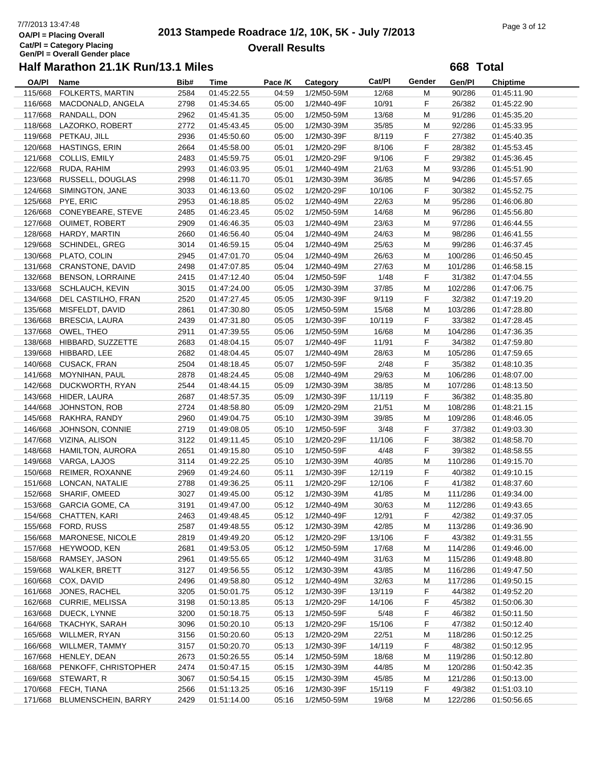# 7/7/2013 13:47:48<br> **2013 Stampede Roadrace 1/2, 10K, 5K - July 7/2013** Page 3 of 12<br> **Page 3 of 12 Overall Results**

**668 Total**

| <b>OA/PI</b> | Name                    | Bib# | Time        | Pace /K | Category   | Cat/Pl | Gender | Gen/Pl  | <b>Chiptime</b> |  |
|--------------|-------------------------|------|-------------|---------|------------|--------|--------|---------|-----------------|--|
| 115/668      | FOLKERTS, MARTIN        | 2584 | 01:45:22.55 | 04:59   | 1/2M50-59M | 12/68  | M      | 90/286  | 01:45:11.90     |  |
| 116/668      | MACDONALD, ANGELA       | 2798 | 01:45:34.65 | 05:00   | 1/2M40-49F | 10/91  | F      | 26/382  | 01:45:22.90     |  |
| 117/668      | RANDALL, DON            | 2962 | 01:45:41.35 | 05:00   | 1/2M50-59M | 13/68  | M      | 91/286  | 01:45:35.20     |  |
| 118/668      | LAZORKO, ROBERT         | 2772 | 01:45:43.45 | 05:00   | 1/2M30-39M | 35/85  | M      | 92/286  | 01:45:33.95     |  |
|              | 119/668 PETKAU, JILL    | 2936 | 01:45:50.60 | 05:00   | 1/2M30-39F | 8/119  | F      | 27/382  | 01:45:40.35     |  |
| 120/668      | HASTINGS, ERIN          | 2664 | 01:45:58.00 | 05:01   | 1/2M20-29F | 8/106  | F      | 28/382  | 01:45:53.45     |  |
| 121/668      | COLLIS, EMILY           | 2483 | 01:45:59.75 | 05:01   | 1/2M20-29F | 9/106  | F      | 29/382  | 01:45:36.45     |  |
| 122/668      | RUDA, RAHIM             | 2993 | 01:46:03.95 | 05:01   | 1/2M40-49M | 21/63  | M      | 93/286  | 01:45:51.90     |  |
| 123/668      | RUSSELL, DOUGLAS        | 2998 | 01:46:11.70 | 05:01   | 1/2M30-39M | 36/85  | M      | 94/286  | 01:45:57.65     |  |
| 124/668      | SIMINGTON, JANE         | 3033 | 01:46:13.60 | 05:02   | 1/2M20-29F | 10/106 | F      | 30/382  | 01:45:52.75     |  |
| 125/668      | PYE, ERIC               | 2953 |             | 05:02   |            | 22/63  | M      | 95/286  |                 |  |
|              |                         |      | 01:46:18.85 |         | 1/2M40-49M |        |        |         | 01:46:06.80     |  |
| 126/668      | CONEYBEARE, STEVE       | 2485 | 01:46:23.45 | 05:02   | 1/2M50-59M | 14/68  | M      | 96/286  | 01:45:56.80     |  |
| 127/668      | <b>OUIMET, ROBERT</b>   | 2909 | 01:46:46.35 | 05:03   | 1/2M40-49M | 23/63  | M      | 97/286  | 01:46:44.55     |  |
| 128/668      | HARDY, MARTIN           | 2660 | 01:46:56.40 | 05:04   | 1/2M40-49M | 24/63  | М      | 98/286  | 01:46:41.55     |  |
| 129/668      | SCHINDEL, GREG          | 3014 | 01:46:59.15 | 05:04   | 1/2M40-49M | 25/63  | M      | 99/286  | 01:46:37.45     |  |
| 130/668      | PLATO, COLIN            | 2945 | 01:47:01.70 | 05:04   | 1/2M40-49M | 26/63  | M      | 100/286 | 01:46:50.45     |  |
| 131/668      | CRANSTONE, DAVID        | 2498 | 01:47:07.85 | 05:04   | 1/2M40-49M | 27/63  | M      | 101/286 | 01:46:58.15     |  |
| 132/668      | <b>BENSON, LORRAINE</b> | 2415 | 01:47:12.40 | 05:04   | 1/2M50-59F | 1/48   | F      | 31/382  | 01:47:04.55     |  |
| 133/668      | <b>SCHLAUCH, KEVIN</b>  | 3015 | 01:47:24.00 | 05:05   | 1/2M30-39M | 37/85  | M      | 102/286 | 01:47:06.75     |  |
| 134/668      | DEL CASTILHO, FRAN      | 2520 | 01:47:27.45 | 05:05   | 1/2M30-39F | 9/119  | F      | 32/382  | 01:47:19.20     |  |
| 135/668      | MISFELDT, DAVID         | 2861 | 01:47:30.80 | 05:05   | 1/2M50-59M | 15/68  | M      | 103/286 | 01:47:28.80     |  |
| 136/668      | <b>BRESCIA, LAURA</b>   | 2439 | 01:47:31.80 | 05:05   | 1/2M30-39F | 10/119 | F      | 33/382  | 01:47:28.45     |  |
| 137/668      | OWEL, THEO              | 2911 | 01:47:39.55 | 05:06   | 1/2M50-59M | 16/68  | M      | 104/286 | 01:47:36.35     |  |
| 138/668      | HIBBARD, SUZZETTE       | 2683 | 01:48:04.15 | 05:07   | 1/2M40-49F | 11/91  | F      | 34/382  | 01:47:59.80     |  |
| 139/668      | HIBBARD, LEE            | 2682 | 01:48:04.45 | 05:07   | 1/2M40-49M | 28/63  | M      | 105/286 | 01:47:59.65     |  |
| 140/668      | <b>CUSACK, FRAN</b>     | 2504 | 01:48:18.45 | 05:07   | 1/2M50-59F | 2/48   | F      | 35/382  | 01:48:10.35     |  |
| 141/668      | MOYNIHAN, PAUL          | 2878 | 01:48:24.45 | 05:08   | 1/2M40-49M | 29/63  | M      | 106/286 | 01:48:07.00     |  |
| 142/668      | DUCKWORTH, RYAN         | 2544 | 01:48:44.15 | 05:09   | 1/2M30-39M | 38/85  | М      | 107/286 | 01:48:13.50     |  |
| 143/668      | HIDER, LAURA            | 2687 | 01:48:57.35 | 05:09   | 1/2M30-39F | 11/119 | F      | 36/382  | 01:48:35.80     |  |
| 144/668      | JOHNSTON, ROB           | 2724 | 01:48:58.80 | 05:09   | 1/2M20-29M | 21/51  | M      | 108/286 | 01:48:21.15     |  |
| 145/668      | RAKHRA, RANDY           | 2960 | 01:49:04.75 | 05:10   | 1/2M30-39M | 39/85  | M      | 109/286 | 01:48:46.05     |  |
| 146/668      | JOHNSON, CONNIE         | 2719 | 01:49:08.05 | 05:10   | 1/2M50-59F | 3/48   | F      | 37/382  | 01:49:03.30     |  |
| 147/668      | VIZINA, ALISON          | 3122 | 01:49:11.45 | 05:10   | 1/2M20-29F | 11/106 | F      | 38/382  | 01:48:58.70     |  |
| 148/668      | <b>HAMILTON, AURORA</b> | 2651 | 01:49:15.80 | 05:10   | 1/2M50-59F | 4/48   | F      | 39/382  | 01:48:58.55     |  |
| 149/668      | VARGA, LAJOS            | 3114 | 01:49:22.25 | 05:10   | 1/2M30-39M | 40/85  | M      | 110/286 | 01:49:15.70     |  |
| 150/668      | REIMER, ROXANNE         | 2969 | 01:49:24.60 | 05:11   | 1/2M30-39F | 12/119 | F      | 40/382  | 01:49:10.15     |  |
| 151/668      | LONCAN, NATALIE         | 2788 | 01:49:36.25 | 05:11   | 1/2M20-29F | 12/106 | F      | 41/382  | 01:48:37.60     |  |
| 152/668      | SHARIF, OMEED           | 3027 | 01:49:45.00 | 05:12   | 1/2M30-39M | 41/85  | M      | 111/286 | 01:49:34.00     |  |
|              | 153/668 GARCIA GOME, CA | 3191 | 01:49:47.00 | 05:12   | 1/2M40-49M | 30/63  | М      | 112/286 | 01:49:43.65     |  |
|              | 154/668 CHATTEN, KARI   | 2463 | 01:49:48.45 | 05:12   | 1/2M40-49F | 12/91  | F      | 42/382  | 01:49:37.05     |  |
| 155/668      | FORD, RUSS              | 2587 | 01:49:48.55 | 05:12   | 1/2M30-39M | 42/85  | M      | 113/286 | 01:49:36.90     |  |
| 156/668      | MARONESE, NICOLE        | 2819 | 01:49:49.20 | 05:12   | 1/2M20-29F | 13/106 | F      | 43/382  | 01:49:31.55     |  |
| 157/668      | HEYWOOD, KEN            | 2681 | 01:49:53.05 | 05:12   | 1/2M50-59M | 17/68  | M      | 114/286 | 01:49:46.00     |  |
| 158/668      | RAMSEY, JASON           | 2961 | 01:49:55.65 | 05:12   | 1/2M40-49M | 31/63  | M      | 115/286 | 01:49:48.80     |  |
| 159/668      | <b>WALKER, BRETT</b>    | 3127 | 01:49:56.55 | 05:12   | 1/2M30-39M | 43/85  | M      | 116/286 |                 |  |
| 160/668      | COX, DAVID              |      | 01:49:58.80 |         |            |        |        |         | 01:49:47.50     |  |
|              |                         | 2496 |             | 05:12   | 1/2M40-49M | 32/63  | M      | 117/286 | 01:49:50.15     |  |
| 161/668      | JONES, RACHEL           | 3205 | 01:50:01.75 | 05:12   | 1/2M30-39F | 13/119 | F      | 44/382  | 01:49:52.20     |  |
| 162/668      | <b>CURRIE, MELISSA</b>  | 3198 | 01:50:13.85 | 05:13   | 1/2M20-29F | 14/106 | F      | 45/382  | 01:50:06.30     |  |
| 163/668      | DUECK, LYNNE            | 3200 | 01:50:18.75 | 05:13   | 1/2M50-59F | 5/48   | F      | 46/382  | 01:50:11.50     |  |
| 164/668      | TKACHYK, SARAH          | 3096 | 01:50:20.10 | 05:13   | 1/2M20-29F | 15/106 | F      | 47/382  | 01:50:12.40     |  |
| 165/668      | WILLMER, RYAN           | 3156 | 01:50:20.60 | 05:13   | 1/2M20-29M | 22/51  | M      | 118/286 | 01:50:12.25     |  |
| 166/668      | WILLMER, TAMMY          | 3157 | 01:50:20.70 | 05:13   | 1/2M30-39F | 14/119 | F      | 48/382  | 01:50:12.95     |  |
| 167/668      | HENLEY, DEAN            | 2673 | 01:50:26.55 | 05:14   | 1/2M50-59M | 18/68  | M      | 119/286 | 01:50:12.80     |  |
| 168/668      | PENKOFF, CHRISTOPHER    | 2474 | 01:50:47.15 | 05:15   | 1/2M30-39M | 44/85  | M      | 120/286 | 01:50:42.35     |  |
| 169/668      | STEWART, R              | 3067 | 01:50:54.15 | 05:15   | 1/2M30-39M | 45/85  | M      | 121/286 | 01:50:13.00     |  |
| 170/668      | FECH, TIANA             | 2566 | 01:51:13.25 | 05:16   | 1/2M30-39F | 15/119 | F      | 49/382  | 01:51:03.10     |  |
| 171/668      | BLUMENSCHEIN, BARRY     | 2429 | 01:51:14.00 | 05:16   | 1/2M50-59M | 19/68  | M      | 122/286 | 01:50:56.65     |  |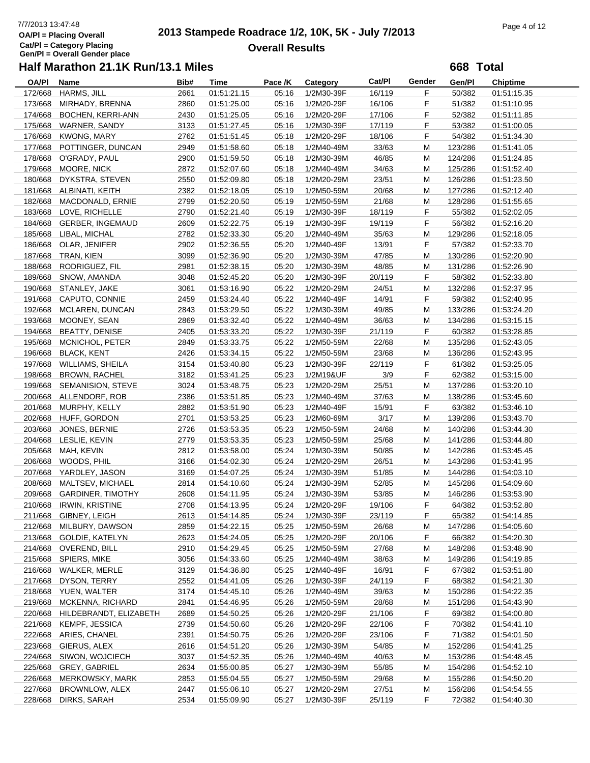# **2013 Stampede Roadrace 1/2, 10K, 5K - July 7/2013** 7/7/2013 13:47:48 Page 4 of 12 **Overall Results**

**668 Total**

| <b>OA/PI</b> | Name                     | Bib# | Time        | Pace /K | Category   | Cat/Pl | Gender | Gen/Pl  | <b>Chiptime</b> |
|--------------|--------------------------|------|-------------|---------|------------|--------|--------|---------|-----------------|
| 172/668      | HARMS, JILL              | 2661 | 01:51:21.15 | 05:16   | 1/2M30-39F | 16/119 | F      | 50/382  | 01:51:15.35     |
| 173/668      | MIRHADY, BRENNA          | 2860 | 01:51:25.00 | 05:16   | 1/2M20-29F | 16/106 | F      | 51/382  | 01:51:10.95     |
| 174/668      | BOCHEN, KERRI-ANN        | 2430 | 01:51:25.05 | 05:16   | 1/2M20-29F | 17/106 | F      | 52/382  | 01:51:11.85     |
| 175/668      | WARNER, SANDY            | 3133 | 01:51:27.45 | 05:16   | 1/2M30-39F | 17/119 | F      | 53/382  | 01:51:00.05     |
| 176/668      | <b>KWONG, MARY</b>       | 2762 | 01:51:51.45 | 05:18   | 1/2M20-29F | 18/106 | F      | 54/382  | 01:51:34.30     |
| 177/668      | POTTINGER, DUNCAN        | 2949 | 01:51:58.60 | 05:18   | 1/2M40-49M | 33/63  | M      | 123/286 | 01:51:41.05     |
|              |                          |      |             |         |            |        |        |         |                 |
| 178/668      | O'GRADY, PAUL            | 2900 | 01:51:59.50 | 05:18   | 1/2M30-39M | 46/85  | M      | 124/286 | 01:51:24.85     |
| 179/668      | MOORE, NICK              | 2872 | 01:52:07.60 | 05:18   | 1/2M40-49M | 34/63  | M      | 125/286 | 01:51:52.40     |
| 180/668      | DYKSTRA, STEVEN          | 2550 | 01:52:09.80 | 05:18   | 1/2M20-29M | 23/51  | M      | 126/286 | 01:51:23.50     |
| 181/668      | ALBINATI, KEITH          | 2382 | 01:52:18.05 | 05:19   | 1/2M50-59M | 20/68  | M      | 127/286 | 01:52:12.40     |
| 182/668      | MACDONALD, ERNIE         | 2799 | 01:52:20.50 | 05:19   | 1/2M50-59M | 21/68  | M      | 128/286 | 01:51:55.65     |
| 183/668      | LOVE, RICHELLE           | 2790 | 01:52:21.40 | 05:19   | 1/2M30-39F | 18/119 | F      | 55/382  | 01:52:02.05     |
| 184/668      | <b>GERBER, INGEMAUD</b>  | 2609 | 01:52:22.75 | 05:19   | 1/2M30-39F | 19/119 | F      | 56/382  | 01:52:16.20     |
| 185/668      | LIBAL, MICHAL            | 2782 | 01:52:33.30 | 05:20   | 1/2M40-49M | 35/63  | M      | 129/286 | 01:52:18.05     |
| 186/668      | OLAR, JENIFER            | 2902 | 01:52:36.55 | 05:20   | 1/2M40-49F | 13/91  | F      | 57/382  | 01:52:33.70     |
| 187/668      | TRAN, KIEN               | 3099 | 01:52:36.90 | 05:20   | 1/2M30-39M | 47/85  | M      | 130/286 | 01:52:20.90     |
| 188/668      | RODRIGUEZ, FIL           | 2981 | 01:52:38.15 | 05:20   | 1/2M30-39M | 48/85  | M      | 131/286 | 01:52:26.90     |
| 189/668      | SNOW, AMANDA             | 3048 | 01:52:45.20 | 05:20   | 1/2M30-39F | 20/119 | F      | 58/382  | 01:52:33.80     |
| 190/668      | STANLEY, JAKE            | 3061 | 01:53:16.90 | 05:22   | 1/2M20-29M | 24/51  | M      | 132/286 | 01:52:37.95     |
| 191/668      | CAPUTO, CONNIE           | 2459 | 01:53:24.40 | 05:22   | 1/2M40-49F | 14/91  | F      | 59/382  | 01:52:40.95     |
|              |                          |      |             |         |            |        |        |         |                 |
| 192/668      | MCLAREN, DUNCAN          | 2843 | 01:53:29.50 | 05:22   | 1/2M30-39M | 49/85  | M      | 133/286 | 01:53:24.20     |
| 193/668      | MOONEY, SEAN             | 2869 | 01:53:32.40 | 05:22   | 1/2M40-49M | 36/63  | M      | 134/286 | 01:53:15.15     |
| 194/668      | <b>BEATTY, DENISE</b>    | 2405 | 01:53:33.20 | 05:22   | 1/2M30-39F | 21/119 | F      | 60/382  | 01:53:28.85     |
| 195/668      | MCNICHOL, PETER          | 2849 | 01:53:33.75 | 05:22   | 1/2M50-59M | 22/68  | M      | 135/286 | 01:52:43.05     |
| 196/668      | <b>BLACK, KENT</b>       | 2426 | 01:53:34.15 | 05:22   | 1/2M50-59M | 23/68  | м      | 136/286 | 01:52:43.95     |
| 197/668      | <b>WILLIAMS, SHEILA</b>  | 3154 | 01:53:40.80 | 05:23   | 1/2M30-39F | 22/119 | F      | 61/382  | 01:53:25.05     |
| 198/668      | <b>BROWN, RACHEL</b>     | 3182 | 01:53:41.25 | 05:23   | 1/2M19&UF  | 3/9    | F      | 62/382  | 01:53:15.00     |
| 199/668      | SEMANISION, STEVE        | 3024 | 01:53:48.75 | 05:23   | 1/2M20-29M | 25/51  | M      | 137/286 | 01:53:20.10     |
| 200/668      | ALLENDORF, ROB           | 2386 | 01:53:51.85 | 05:23   | 1/2M40-49M | 37/63  | M      | 138/286 | 01:53:45.60     |
| 201/668      | MURPHY, KELLY            | 2882 | 01:53:51.90 | 05:23   | 1/2M40-49F | 15/91  | F      | 63/382  | 01:53:46.10     |
| 202/668      | HUFF, GORDON             | 2701 | 01:53:53.25 | 05:23   | 1/2M60-69M | 3/17   | M      | 139/286 | 01:53:43.70     |
| 203/668      | JONES, BERNIE            | 2726 | 01:53:53.35 | 05:23   | 1/2M50-59M | 24/68  | M      | 140/286 | 01:53:44.30     |
| 204/668      | LESLIE, KEVIN            | 2779 | 01:53:53.35 | 05:23   | 1/2M50-59M | 25/68  | M      | 141/286 | 01:53:44.80     |
| 205/668      | MAH, KEVIN               | 2812 | 01:53:58.00 | 05:24   | 1/2M30-39M | 50/85  | M      | 142/286 | 01:53:45.45     |
|              | WOODS, PHIL              |      |             |         |            |        |        |         |                 |
| 206/668      |                          | 3166 | 01:54:02.30 | 05:24   | 1/2M20-29M | 26/51  | M      | 143/286 | 01:53:41.95     |
| 207/668      | YARDLEY, JASON           | 3169 | 01:54:07.25 | 05:24   | 1/2M30-39M | 51/85  | M      | 144/286 | 01:54:03.10     |
| 208/668      | MALTSEV, MICHAEL         | 2814 | 01:54:10.60 | 05:24   | 1/2M30-39M | 52/85  | M      | 145/286 | 01:54:09.60     |
| 209/668      | <b>GARDINER, TIMOTHY</b> | 2608 | 01:54:11.95 | 05:24   | 1/2M30-39M | 53/85  | M      | 146/286 | 01:53:53.90     |
| 210/668      | <b>IRWIN, KRISTINE</b>   | 2708 | 01:54:13.95 | 05:24   | 1/2M20-29F | 19/106 | F      | 64/382  | 01:53:52.80     |
|              | 211/668 GIBNEY, LEIGH    | 2613 | 01:54:14.85 | 05:24   | 1/2M30-39F | 23/119 | F      | 65/382  | 01:54:14.85     |
| 212/668      | MILBURY, DAWSON          | 2859 | 01:54:22.15 | 05:25   | 1/2M50-59M | 26/68  | M      | 147/286 | 01:54:05.60     |
| 213/668      | GOLDIE, KATELYN          | 2623 | 01:54:24.05 | 05:25   | 1/2M20-29F | 20/106 | F.     | 66/382  | 01:54:20.30     |
| 214/668      | OVEREND, BILL            | 2910 | 01:54:29.45 | 05:25   | 1/2M50-59M | 27/68  | M      | 148/286 | 01:53:48.90     |
| 215/668      | <b>SPIERS, MIKE</b>      | 3056 | 01:54:33.60 | 05:25   | 1/2M40-49M | 38/63  | M      | 149/286 | 01:54:19.85     |
| 216/668      | WALKER, MERLE            | 3129 | 01:54:36.80 | 05:25   | 1/2M40-49F | 16/91  | F      | 67/382  | 01:53:51.80     |
| 217/668      | DYSON, TERRY             | 2552 | 01:54:41.05 | 05:26   | 1/2M30-39F | 24/119 | F.     | 68/382  | 01:54:21.30     |
| 218/668      | YUEN, WALTER             | 3174 | 01:54:45.10 | 05:26   | 1/2M40-49M | 39/63  | M      | 150/286 | 01:54:22.35     |
| 219/668      | MCKENNA, RICHARD         | 2841 | 01:54:46.95 | 05:26   | 1/2M50-59M | 28/68  | M      | 151/286 | 01:54:43.90     |
| 220/668      | HILDEBRANDT, ELIZABETH   | 2689 | 01:54:50.25 | 05:26   | 1/2M20-29F | 21/106 | F.     | 69/382  | 01:54:00.80     |
| 221/668      | KEMPF, JESSICA           | 2739 | 01:54:50.60 | 05:26   | 1/2M20-29F | 22/106 | F.     | 70/382  | 01:54:41.10     |
|              |                          |      |             |         |            |        |        |         |                 |
| 222/668      | ARIES, CHANEL            | 2391 | 01:54:50.75 | 05:26   | 1/2M20-29F | 23/106 | F.     | 71/382  | 01:54:01.50     |
| 223/668      | GIERUS, ALEX             | 2616 | 01:54:51.20 | 05:26   | 1/2M30-39M | 54/85  | M      | 152/286 | 01:54:41.25     |
| 224/668      | SIWON, WOJCIECH          | 3037 | 01:54:52.35 | 05:26   | 1/2M40-49M | 40/63  | M      | 153/286 | 01:54:48.45     |
| 225/668      | GREY, GABRIEL            | 2634 | 01:55:00.85 | 05:27   | 1/2M30-39M | 55/85  | M      | 154/286 | 01:54:52.10     |
| 226/668      | MERKOWSKY, MARK          | 2853 | 01:55:04.55 | 05:27   | 1/2M50-59M | 29/68  | M      | 155/286 | 01:54:50.20     |
| 227/668      | BROWNLOW, ALEX           | 2447 | 01:55:06.10 | 05:27   | 1/2M20-29M | 27/51  | M      | 156/286 | 01:54:54.55     |
| 228/668      | DIRKS, SARAH             | 2534 | 01:55:09.90 | 05:27   | 1/2M30-39F | 25/119 | F.     | 72/382  | 01:54:40.30     |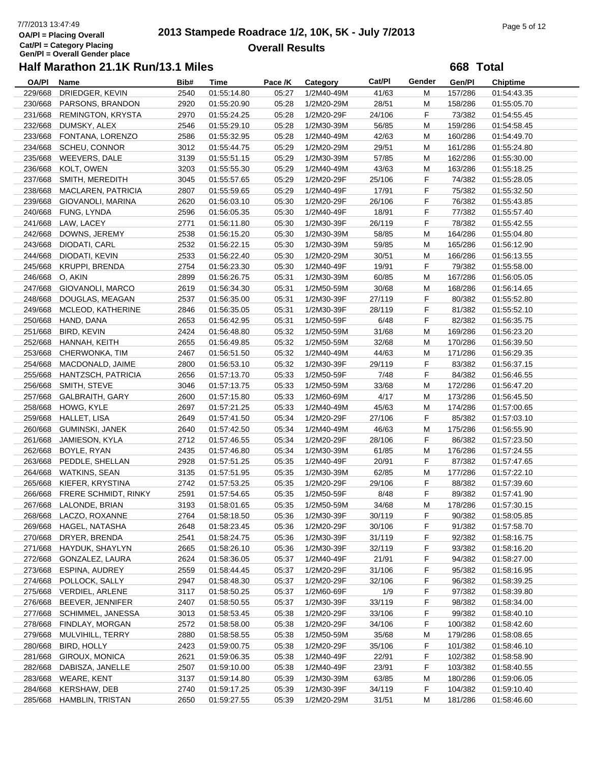# 7/7/2013 13:47:49<br> **2013 Stampede Roadrace 1/2, 10K, 5K - July 7/2013** Page 5 of 12<br> **Page 5 of 12 Overall Results**

**668 Total**

| <b>OA/PI</b> | Name                      | Bib# | Time        | Pace /K | Category   | Cat/Pl | Gender | Gen/Pl  | <b>Chiptime</b> |
|--------------|---------------------------|------|-------------|---------|------------|--------|--------|---------|-----------------|
| 229/668      | DRIEDGER, KEVIN           | 2540 | 01:55:14.80 | 05:27   | 1/2M40-49M | 41/63  | м      | 157/286 | 01:54:43.35     |
| 230/668      | PARSONS, BRANDON          | 2920 | 01:55:20.90 | 05:28   | 1/2M20-29M | 28/51  | М      | 158/286 | 01:55:05.70     |
| 231/668      | <b>REMINGTON, KRYSTA</b>  | 2970 | 01:55:24.25 | 05:28   | 1/2M20-29F | 24/106 | F      | 73/382  | 01:54:55.45     |
| 232/668      | DUMSKY, ALEX              | 2546 | 01:55:29.10 | 05:28   | 1/2M30-39M | 56/85  | M      | 159/286 | 01:54:58.45     |
|              | 233/668 FONTANA, LORENZO  | 2586 | 01:55:32.95 | 05:28   | 1/2M40-49M | 42/63  | M      | 160/286 | 01:54:49.70     |
|              | 234/668 SCHEU, CONNOR     | 3012 | 01:55:44.75 | 05:29   | 1/2M20-29M | 29/51  | M      | 161/286 | 01:55:24.80     |
| 235/668      | WEEVERS, DALE             | 3139 | 01:55:51.15 | 05:29   | 1/2M30-39M | 57/85  | M      | 162/286 | 01:55:30.00     |
|              |                           |      |             |         |            |        |        |         |                 |
| 236/668      | KOLT, OWEN                | 3203 | 01:55:55.30 | 05:29   | 1/2M40-49M | 43/63  | M      | 163/286 | 01:55:18.25     |
|              | 237/668 SMITH, MEREDITH   | 3045 | 01:55:57.65 | 05:29   | 1/2M20-29F | 25/106 | F      | 74/382  | 01:55:28.05     |
| 238/668      | MACLAREN, PATRICIA        | 2807 | 01:55:59.65 | 05:29   | 1/2M40-49F | 17/91  | F      | 75/382  | 01:55:32.50     |
| 239/668      | GIOVANOLI, MARINA         | 2620 | 01:56:03.10 | 05:30   | 1/2M20-29F | 26/106 | F      | 76/382  | 01:55:43.85     |
|              | 240/668 FUNG, LYNDA       | 2596 | 01:56:05.35 | 05:30   | 1/2M40-49F | 18/91  | F      | 77/382  | 01:55:57.40     |
|              | 241/668 LAW, LACEY        | 2771 | 01:56:11.80 | 05:30   | 1/2M30-39F | 26/119 | F      | 78/382  | 01:55:42.55     |
| 242/668      | DOWNS, JEREMY             | 2538 | 01:56:15.20 | 05:30   | 1/2M30-39M | 58/85  | M      | 164/286 | 01:55:04.80     |
| 243/668      | DIODATI, CARL             | 2532 | 01:56:22.15 | 05:30   | 1/2M30-39M | 59/85  | M      | 165/286 | 01:56:12.90     |
| 244/668      | DIODATI, KEVIN            | 2533 | 01:56:22.40 | 05:30   | 1/2M20-29M | 30/51  | M      | 166/286 | 01:56:13.55     |
| 245/668      | <b>KRUPPI, BRENDA</b>     | 2754 | 01:56:23.30 | 05:30   | 1/2M40-49F | 19/91  | F      | 79/382  | 01:55:58.00     |
|              | 246/668 O, AKIN           | 2899 | 01:56:26.75 | 05:31   | 1/2M30-39M | 60/85  | M      | 167/286 | 01:56:05.05     |
| 247/668      | GIOVANOLI, MARCO          | 2619 | 01:56:34.30 | 05:31   | 1/2M50-59M | 30/68  | M      | 168/286 | 01:56:14.65     |
| 248/668      | DOUGLAS, MEAGAN           | 2537 | 01:56:35.00 | 05:31   | 1/2M30-39F | 27/119 | F      | 80/382  | 01:55:52.80     |
| 249/668      | MCLEOD, KATHERINE         | 2846 | 01:56:35.05 | 05:31   | 1/2M30-39F | 28/119 | F      | 81/382  | 01:55:52.10     |
| 250/668      | HAND, DANA                | 2653 | 01:56:42.95 | 05:31   | 1/2M50-59F | 6/48   | F      | 82/382  | 01:56:35.75     |
|              |                           | 2424 |             |         |            |        |        |         |                 |
| 251/668      | BIRD, KEVIN               |      | 01:56:48.80 | 05:32   | 1/2M50-59M | 31/68  | M      | 169/286 | 01:56:23.20     |
| 252/668      | HANNAH, KEITH             | 2655 | 01:56:49.85 | 05:32   | 1/2M50-59M | 32/68  | M      | 170/286 | 01:56:39.50     |
| 253/668      | CHERWONKA, TIM            | 2467 | 01:56:51.50 | 05:32   | 1/2M40-49M | 44/63  | м      | 171/286 | 01:56:29.35     |
| 254/668      | MACDONALD, JAIME          | 2800 | 01:56:53.10 | 05:32   | 1/2M30-39F | 29/119 | F      | 83/382  | 01:56:37.15     |
| 255/668      | HANTZSCH, PATRICIA        | 2656 | 01:57:13.70 | 05:33   | 1/2M50-59F | 7/48   | F      | 84/382  | 01:56:46.55     |
|              | 256/668 SMITH, STEVE      | 3046 | 01:57:13.75 | 05:33   | 1/2M50-59M | 33/68  | M      | 172/286 | 01:56:47.20     |
|              | 257/668 GALBRAITH, GARY   | 2600 | 01:57:15.80 | 05:33   | 1/2M60-69M | 4/17   | M      | 173/286 | 01:56:45.50     |
| 258/668      | HOWG, KYLE                | 2697 | 01:57:21.25 | 05:33   | 1/2M40-49M | 45/63  | M      | 174/286 | 01:57:00.65     |
| 259/668      | HALLET, LISA              | 2649 | 01:57:41.50 | 05:34   | 1/2M20-29F | 27/106 | F      | 85/382  | 01:57:03.10     |
| 260/668      | GUMINSKI, JANEK           | 2640 | 01:57:42.50 | 05:34   | 1/2M40-49M | 46/63  | M      | 175/286 | 01:56:55.90     |
| 261/668      | JAMIESON, KYLA            | 2712 | 01:57:46.55 | 05:34   | 1/2M20-29F | 28/106 | F      | 86/382  | 01:57:23.50     |
| 262/668      | BOYLE, RYAN               | 2435 | 01:57:46.80 | 05:34   | 1/2M30-39M | 61/85  | M      | 176/286 | 01:57:24.55     |
| 263/668      | PEDDLE, SHELLAN           | 2928 | 01:57:51.25 | 05:35   | 1/2M40-49F | 20/91  | F      | 87/382  | 01:57:47.65     |
|              | 264/668 WATKINS, SEAN     | 3135 | 01:57:51.95 | 05:35   | 1/2M30-39M | 62/85  | M      | 177/286 | 01:57:22.10     |
| 265/668      | KIEFER, KRYSTINA          | 2742 | 01:57:53.25 | 05:35   | 1/2M20-29F | 29/106 | F      | 88/382  | 01:57:39.60     |
| 266/668      | FRERE SCHMIDT, RINKY      | 2591 | 01:57:54.65 | 05:35   | 1/2M50-59F | 8/48   | F      | 89/382  | 01:57:41.90     |
| 267/668      | LALONDE, BRIAN            | 3193 | 01:58:01.65 | 05:35   |            | 34/68  | М      | 178/286 | 01:57:30.15     |
|              |                           |      |             |         | 1/2M50-59M |        |        |         |                 |
| 268/668      | LACZO, ROXANNE            | 2764 | 01:58:18.50 | 05:36   | 1/2M30-39F | 30/119 | F      | 90/382  | 01:58:05.85     |
| 269/668      | HAGEL, NATASHA            | 2648 | 01:58:23.45 | 05:36   | 1/2M20-29F | 30/106 | F      | 91/382  | 01:57:58.70     |
| 270/668      | DRYER, BRENDA             | 2541 | 01:58:24.75 | 05:36   | 1/2M30-39F | 31/119 | F      | 92/382  | 01:58:16.75     |
| 271/668      | HAYDUK, SHAYLYN           | 2665 | 01:58:26.10 | 05:36   | 1/2M30-39F | 32/119 | F.     | 93/382  | 01:58:16.20     |
|              | 272/668 GONZALEZ, LAURA   | 2624 | 01:58:36.05 | 05:37   | 1/2M40-49F | 21/91  | F      | 94/382  | 01:58:27.00     |
|              | 273/668 ESPINA, AUDREY    | 2559 | 01:58:44.45 | 05:37   | 1/2M20-29F | 31/106 | F      | 95/382  | 01:58:16.95     |
| 274/668      | POLLOCK, SALLY            | 2947 | 01:58:48.30 | 05:37   | 1/2M20-29F | 32/106 | F      | 96/382  | 01:58:39.25     |
| 275/668      | <b>VERDIEL, ARLENE</b>    | 3117 | 01:58:50.25 | 05:37   | 1/2M60-69F | 1/9    | F.     | 97/382  | 01:58:39.80     |
| 276/668      | BEEVER, JENNIFER          | 2407 | 01:58:50.55 | 05:37   | 1/2M30-39F | 33/119 | F.     | 98/382  | 01:58:34.00     |
|              | 277/668 SCHIMMEL, JANESSA | 3013 | 01:58:53.45 | 05:38   | 1/2M20-29F | 33/106 | F      | 99/382  | 01:58:40.10     |
| 278/668      | FINDLAY, MORGAN           | 2572 | 01:58:58.00 | 05:38   | 1/2M20-29F | 34/106 | F.     | 100/382 | 01:58:42.60     |
| 279/668      | MULVIHILL, TERRY          | 2880 | 01:58:58.55 | 05:38   | 1/2M50-59M | 35/68  | M      | 179/286 | 01:58:08.65     |
| 280/668      | <b>BIRD, HOLLY</b>        | 2423 | 01:59:00.75 | 05:38   | 1/2M20-29F | 35/106 | F.     | 101/382 | 01:58:46.10     |
|              | 281/668 GIROUX, MONICA    | 2621 | 01:59:06.35 | 05:38   | 1/2M40-49F | 22/91  | F      | 102/382 | 01:58:58.90     |
| 282/668      | DABISZA, JANELLE          | 2507 | 01:59:10.00 | 05:38   | 1/2M40-49F | 23/91  | F      | 103/382 | 01:58:40.55     |
| 283/668      | WEARE, KENT               | 3137 | 01:59:14.80 | 05:39   | 1/2M30-39M | 63/85  | M      | 180/286 | 01:59:06.05     |
| 284/668      | KERSHAW, DEB              | 2740 | 01:59:17.25 | 05:39   | 1/2M30-39F | 34/119 | F      | 104/382 | 01:59:10.40     |
| 285/668      |                           | 2650 |             | 05:39   |            |        |        |         |                 |
|              | HAMBLIN, TRISTAN          |      | 01:59:27.55 |         | 1/2M20-29M | 31/51  | М      | 181/286 | 01:58:46.60     |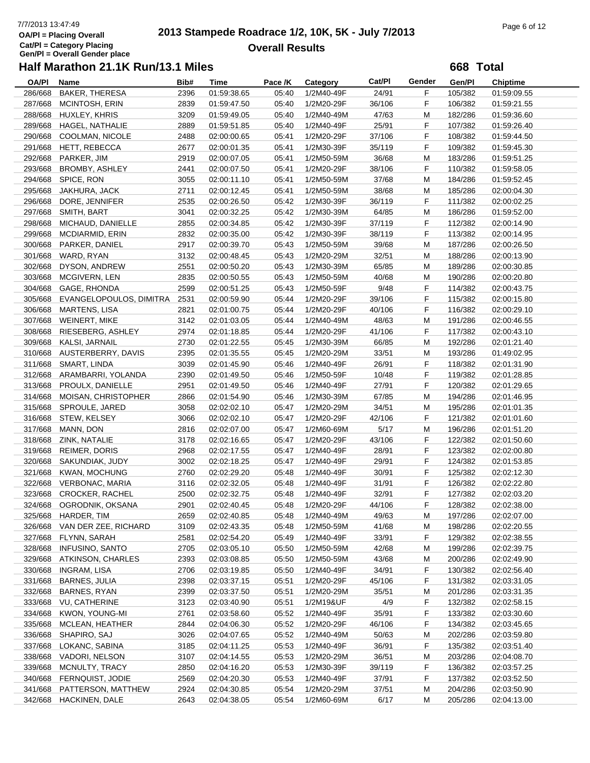# 7/7/2013 13:47:49<br> **2013 Stampede Roadrace 1/2, 10K, 5K - July 7/2013** Page 6 of 12<br> **Page 6 of 12 Overall Results**

**668 Total**

| <b>OA/PI</b> | Name                       | Bib# | <b>Time</b> | Pace /K | Category   | Cat/Pl | Gender | Gen/Pl  | <b>Chiptime</b> |
|--------------|----------------------------|------|-------------|---------|------------|--------|--------|---------|-----------------|
| 286/668      | BAKER, THERESA             | 2396 | 01:59:38.65 | 05:40   | 1/2M40-49F | 24/91  | F      | 105/382 | 01:59:09.55     |
| 287/668      | MCINTOSH, ERIN             | 2839 | 01:59:47.50 | 05:40   | 1/2M20-29F | 36/106 | F.     | 106/382 | 01:59:21.55     |
| 288/668      | HUXLEY, KHRIS              | 3209 | 01:59:49.05 | 05:40   | 1/2M40-49M | 47/63  | M      | 182/286 | 01:59:36.60     |
| 289/668      | HAGEL, NATHALIE            | 2889 | 01:59:51.85 | 05:40   | 1/2M40-49F | 25/91  | F      | 107/382 | 01:59:26.40     |
| 290/668      | COOLMAN, NICOLE            | 2488 | 02:00:00.65 | 05:41   | 1/2M20-29F | 37/106 | F      | 108/382 | 01:59:44.50     |
| 291/668      | <b>HETT, REBECCA</b>       | 2677 | 02:00:01.35 | 05:41   | 1/2M30-39F | 35/119 | F      | 109/382 | 01:59:45.30     |
| 292/668      | PARKER, JIM                | 2919 | 02:00:07.05 | 05:41   | 1/2M50-59M | 36/68  | M      | 183/286 | 01:59:51.25     |
| 293/668      | <b>BROMBY, ASHLEY</b>      | 2441 | 02:00:07.50 | 05:41   | 1/2M20-29F | 38/106 | F      | 110/382 | 01:59:58.05     |
|              | 294/668 SPICE, RON         | 3055 | 02:00:11.10 | 05:41   | 1/2M50-59M | 37/68  | M      | 184/286 | 01:59:52.45     |
| 295/668      | JAKHURA, JACK              | 2711 | 02:00:12.45 | 05:41   | 1/2M50-59M | 38/68  | M      | 185/286 | 02:00:04.30     |
| 296/668      | DORE, JENNIFER             | 2535 | 02:00:26.50 | 05:42   | 1/2M30-39F | 36/119 | F      | 111/382 | 02:00:02.25     |
| 297/668      | SMITH, BART                | 3041 | 02:00:32.25 | 05:42   | 1/2M30-39M | 64/85  | M      | 186/286 | 01:59:52.00     |
| 298/668      | MICHAUD, DANIELLE          | 2855 | 02:00:34.85 | 05:42   | 1/2M30-39F | 37/119 | F      | 112/382 | 02:00:14.90     |
| 299/668      | MCDIARMID, ERIN            | 2832 | 02:00:35.00 | 05:42   | 1/2M30-39F | 38/119 | F      | 113/382 | 02:00:14.95     |
| 300/668      | PARKER, DANIEL             | 2917 | 02:00:39.70 | 05:43   | 1/2M50-59M | 39/68  | M      | 187/286 | 02:00:26.50     |
| 301/668      | WARD, RYAN                 | 3132 | 02:00:48.45 | 05:43   | 1/2M20-29M | 32/51  | M      | 188/286 | 02:00:13.90     |
|              |                            |      |             |         |            |        |        |         |                 |
| 302/668      | DYSON, ANDREW              | 2551 | 02:00:50.20 | 05:43   | 1/2M30-39M | 65/85  | M      | 189/286 | 02:00:30.85     |
| 303/668      | MCGIVERN, LEN              | 2835 | 02:00:50.55 | 05:43   | 1/2M50-59M | 40/68  | M      | 190/286 | 02:00:20.80     |
| 304/668      | GAGE, RHONDA               | 2599 | 02:00:51.25 | 05:43   | 1/2M50-59F | 9/48   | F      | 114/382 | 02:00:43.75     |
| 305/668      | EVANGELOPOULOS, DIMITRA    | 2531 | 02:00:59.90 | 05:44   | 1/2M20-29F | 39/106 | F      | 115/382 | 02:00:15.80     |
| 306/668      | <b>MARTENS, LISA</b>       | 2821 | 02:01:00.75 | 05:44   | 1/2M20-29F | 40/106 | F      | 116/382 | 02:00:29.10     |
| 307/668      | <b>WEINERT, MIKE</b>       | 3142 | 02:01:03.05 | 05:44   | 1/2M40-49M | 48/63  | M      | 191/286 | 02:00:46.55     |
| 308/668      | RIESEBERG, ASHLEY          | 2974 | 02:01:18.85 | 05:44   | 1/2M20-29F | 41/106 | F      | 117/382 | 02:00:43.10     |
| 309/668      | KALSI, JARNAIL             | 2730 | 02:01:22.55 | 05:45   | 1/2M30-39M | 66/85  | M      | 192/286 | 02:01:21.40     |
|              | 310/668 AUSTERBERRY, DAVIS | 2395 | 02:01:35.55 | 05:45   | 1/2M20-29M | 33/51  | М      | 193/286 | 01:49:02.95     |
| 311/668      | SMART, LINDA               | 3039 | 02:01:45.90 | 05:46   | 1/2M40-49F | 26/91  | F      | 118/382 | 02:01:31.90     |
| 312/668      | ARAMBARRI, YOLANDA         | 2390 | 02:01:49.50 | 05:46   | 1/2M50-59F | 10/48  | F      | 119/382 | 02:01:28.85     |
| 313/668      | PROULX, DANIELLE           | 2951 | 02:01:49.50 | 05:46   | 1/2M40-49F | 27/91  | F      | 120/382 | 02:01:29.65     |
| 314/668      | MOISAN, CHRISTOPHER        | 2866 | 02:01:54.90 | 05:46   | 1/2M30-39M | 67/85  | м      | 194/286 | 02:01:46.95     |
| 315/668      | SPROULE, JARED             | 3058 | 02:02:02.10 | 05:47   | 1/2M20-29M | 34/51  | M      | 195/286 | 02:01:01.35     |
| 316/668      | STEW, KELSEY               | 3066 | 02:02:02.10 | 05:47   | 1/2M20-29F | 42/106 | F      | 121/382 | 02:01:01.60     |
| 317/668      | MANN, DON                  | 2816 | 02:02:07.00 | 05:47   | 1/2M60-69M | 5/17   | M      | 196/286 | 02:01:51.20     |
| 318/668      | ZINK, NATALIE              | 3178 | 02:02:16.65 | 05:47   | 1/2M20-29F | 43/106 | F      | 122/382 | 02:01:50.60     |
| 319/668      | <b>REIMER, DORIS</b>       | 2968 | 02:02:17.55 | 05:47   | 1/2M40-49F | 28/91  | F      | 123/382 | 02:02:00.80     |
| 320/668      | SAKUNDIAK, JUDY            | 3002 | 02:02:18.25 | 05:47   | 1/2M40-49F | 29/91  | F      | 124/382 | 02:01:53.85     |
| 321/668      | KWAN, MOCHUNG              | 2760 | 02:02:29.20 | 05:48   | 1/2M40-49F | 30/91  | F      | 125/382 | 02:02:12.30     |
| 322/668      | <b>VERBONAC, MARIA</b>     | 3116 | 02:02:32.05 | 05:48   | 1/2M40-49F | 31/91  | F      | 126/382 | 02:02:22.80     |
| 323/668      | <b>CROCKER, RACHEL</b>     | 2500 | 02:02:32.75 | 05:48   | 1/2M40-49F | 32/91  | F      | 127/382 | 02:02:03.20     |
| 324/668      | OGRODNIK, OKSANA           | 2901 | 02:02:40.45 | 05:48   | 1/2M20-29F | 44/106 | F      | 128/382 | 02:02:38.00     |
|              | 325/668 HARDER, TIM        | 2659 | 02:02:40.85 | 05:48   | 1/2M40-49M | 49/63  | M      | 197/286 | 02:02:07.00     |
| 326/668      | VAN DER ZEE, RICHARD       | 3109 | 02:02:43.35 | 05:48   | 1/2M50-59M | 41/68  | M      | 198/286 | 02:02:20.55     |
| 327/668      | FLYNN, SARAH               | 2581 | 02:02:54.20 | 05:49   | 1/2M40-49F | 33/91  | F      | 129/382 | 02:02:38.55     |
| 328/668      | <b>INFUSINO, SANTO</b>     | 2705 | 02:03:05.10 | 05:50   | 1/2M50-59M | 42/68  | M      | 199/286 | 02:02:39.75     |
| 329/668      | ATKINSON, CHARLES          | 2393 | 02:03:08.85 | 05:50   | 1/2M50-59M | 43/68  | M      | 200/286 | 02:02:49.90     |
| 330/668      | INGRAM, LISA               |      | 02:03:19.85 |         | 1/2M40-49F | 34/91  |        | 130/382 | 02:02:56.40     |
|              |                            | 2706 |             | 05:50   |            |        | F.     |         |                 |
| 331/668      | <b>BARNES, JULIA</b>       | 2398 | 02:03:37.15 | 05:51   | 1/2M20-29F | 45/106 | F      | 131/382 | 02:03:31.05     |
| 332/668      | BARNES, RYAN               | 2399 | 02:03:37.50 | 05:51   | 1/2M20-29M | 35/51  | M      | 201/286 | 02:03:31.35     |
| 333/668      | VU, CATHERINE              | 3123 | 02:03:40.90 | 05:51   | 1/2M19&UF  | 4/9    | F      | 132/382 | 02:02:58.15     |
| 334/668      | KWON, YOUNG-MI             | 2761 | 02:03:58.60 | 05:52   | 1/2M40-49F | 35/91  | F.     | 133/382 | 02:03:30.60     |
| 335/668      | MCLEAN, HEATHER            | 2844 | 02:04:06.30 | 05:52   | 1/2M20-29F | 46/106 | F      | 134/382 | 02:03:45.65     |
| 336/668      | SHAPIRO, SAJ               | 3026 | 02:04:07.65 | 05:52   | 1/2M40-49M | 50/63  | M      | 202/286 | 02:03:59.80     |
| 337/668      | LOKANC, SABINA             | 3185 | 02:04:11.25 | 05:53   | 1/2M40-49F | 36/91  | F.     | 135/382 | 02:03:51.40     |
| 338/668      | VADORI, NELSON             | 3107 | 02:04:14.55 | 05:53   | 1/2M20-29M | 36/51  | M      | 203/286 | 02:04:08.70     |
| 339/668      | MCNULTY, TRACY             | 2850 | 02:04:16.20 | 05:53   | 1/2M30-39F | 39/119 | F.     | 136/382 | 02:03:57.25     |
| 340/668      | <b>FERNQUIST, JODIE</b>    | 2569 | 02:04:20.30 | 05:53   | 1/2M40-49F | 37/91  | F      | 137/382 | 02:03:52.50     |
| 341/668      | PATTERSON, MATTHEW         | 2924 | 02:04:30.85 | 05:54   | 1/2M20-29M | 37/51  | M      | 204/286 | 02:03:50.90     |
| 342/668      | HACKINEN, DALE             | 2643 | 02:04:38.05 | 05:54   | 1/2M60-69M | 6/17   | М      | 205/286 | 02:04:13.00     |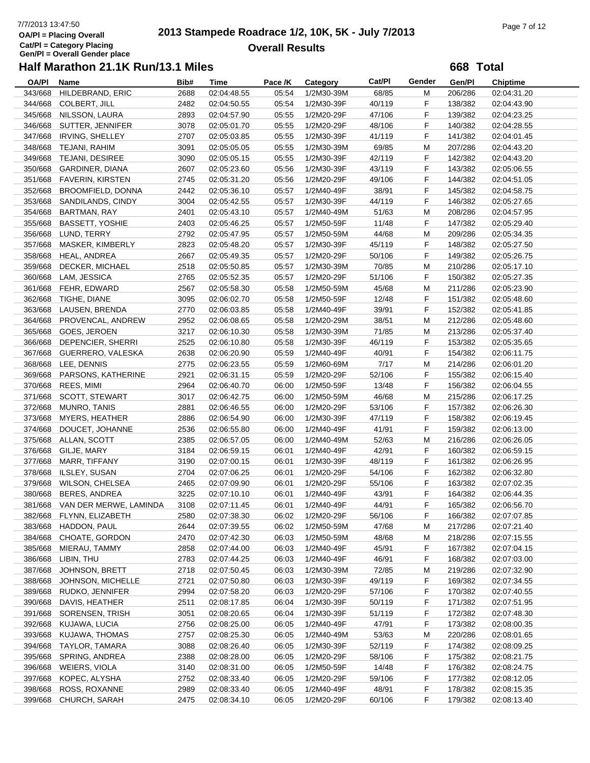# 7/7/2013 13:47:50<br> **2013 Stampede Roadrace 1/2, 10K, 5K - July 7/2013** Page 7 of 12<br> **Page 7 of 12 Overall Results**

**668 Total**

| <b>OA/PI</b> | Name                           | Bib# | Time        | Pace /K | Category   | Cat/Pl | Gender | Gen/Pl  | <b>Chiptime</b> |
|--------------|--------------------------------|------|-------------|---------|------------|--------|--------|---------|-----------------|
| 343/668      | HILDEBRAND, ERIC               | 2688 | 02:04:48.55 | 05:54   | 1/2M30-39M | 68/85  | M      | 206/286 | 02:04:31.20     |
| 344/668      | <b>COLBERT, JILL</b>           | 2482 | 02:04:50.55 | 05:54   | 1/2M30-39F | 40/119 | F.     | 138/382 | 02:04:43.90     |
| 345/668      | NILSSON, LAURA                 | 2893 | 02:04:57.90 | 05:55   | 1/2M20-29F | 47/106 | F.     | 139/382 | 02:04:23.25     |
| 346/668      | SUTTER, JENNIFER               | 3078 | 02:05:01.70 | 05:55   | 1/2M20-29F | 48/106 | F      | 140/382 | 02:04:28.55     |
| 347/668      | IRVING, SHELLEY                | 2707 | 02:05:03.85 | 05:55   | 1/2M30-39F | 41/119 | F      | 141/382 | 02:04:01.45     |
| 348/668      | TEJANI, RAHIM                  | 3091 | 02:05:05.05 | 05:55   | 1/2M30-39M | 69/85  | M      | 207/286 | 02:04:43.20     |
|              | 349/668 TEJANI, DESIREE        | 3090 | 02:05:05.15 | 05:55   | 1/2M30-39F | 42/119 | F      | 142/382 | 02:04:43.20     |
|              |                                |      |             |         |            |        | F      |         |                 |
| 350/668      | GARDINER, DIANA                | 2607 | 02:05:23.60 | 05:56   | 1/2M30-39F | 43/119 |        | 143/382 | 02:05:06.55     |
|              | 351/668 FAVERIN, KIRSTEN       | 2745 | 02:05:31.20 | 05:56   | 1/2M20-29F | 49/106 | F      | 144/382 | 02:04:51.05     |
| 352/668      | BROOMFIELD, DONNA              | 2442 | 02:05:36.10 | 05:57   | 1/2M40-49F | 38/91  | F      | 145/382 | 02:04:58.75     |
| 353/668      | SANDILANDS, CINDY              | 3004 | 02:05:42.55 | 05:57   | 1/2M30-39F | 44/119 | F.     | 146/382 | 02:05:27.65     |
| 354/668      | <b>BARTMAN, RAY</b>            | 2401 | 02:05:43.10 | 05:57   | 1/2M40-49M | 51/63  | M      | 208/286 | 02:04:57.95     |
| 355/668      | <b>BASSETT, YOSHIE</b>         | 2403 | 02:05:46.25 | 05:57   | 1/2M50-59F | 11/48  | F      | 147/382 | 02:05:29.40     |
| 356/668      | LUND, TERRY                    | 2792 | 02:05:47.95 | 05:57   | 1/2M50-59M | 44/68  | M      | 209/286 | 02:05:34.35     |
| 357/668      | MASKER, KIMBERLY               | 2823 | 02:05:48.20 | 05:57   | 1/2M30-39F | 45/119 | F      | 148/382 | 02:05:27.50     |
|              | 358/668 HEAL, ANDREA           | 2667 | 02:05:49.35 | 05:57   | 1/2M20-29F | 50/106 | F      | 149/382 | 02:05:26.75     |
| 359/668      | DECKER, MICHAEL                | 2518 | 02:05:50.85 | 05:57   | 1/2M30-39M | 70/85  | M      | 210/286 | 02:05:17.10     |
| 360/668      | LAM, JESSICA                   | 2765 | 02:05:52.35 | 05:57   | 1/2M20-29F | 51/106 | F      | 150/382 | 02:05:27.35     |
| 361/668      | FEHR, EDWARD                   | 2567 | 02:05:58.30 | 05:58   | 1/2M50-59M | 45/68  | M      | 211/286 | 02:05:23.90     |
| 362/668      | TIGHE, DIANE                   | 3095 | 02:06:02.70 | 05:58   | 1/2M50-59F | 12/48  | F      | 151/382 | 02:05:48.60     |
| 363/668      | LAUSEN, BRENDA                 | 2770 | 02:06:03.85 | 05:58   | 1/2M40-49F | 39/91  | F      | 152/382 | 02:05:41.85     |
| 364/668      | PROVENCAL, ANDREW              | 2952 | 02:06:08.65 | 05:58   | 1/2M20-29M | 38/51  | M      | 212/286 | 02:05:48.60     |
| 365/668      | GOES, JEROEN                   | 3217 | 02:06:10.30 | 05:58   | 1/2M30-39M | 71/85  | M      | 213/286 | 02:05:37.40     |
| 366/668      | DEPENCIER, SHERRI              | 2525 | 02:06:10.80 | 05:58   | 1/2M30-39F | 46/119 | F      | 153/382 | 02:05:35.65     |
|              |                                |      |             |         |            |        |        |         |                 |
|              | 367/668 GUERRERO, VALESKA      | 2638 | 02:06:20.90 | 05:59   | 1/2M40-49F | 40/91  | F      | 154/382 | 02:06:11.75     |
| 368/668      | LEE, DENNIS                    | 2775 | 02:06:23.55 | 05:59   | 1/2M60-69M | 7/17   | М      | 214/286 | 02:06:01.20     |
| 369/668      | PARSONS, KATHERINE             | 2921 | 02:06:31.15 | 05:59   | 1/2M20-29F | 52/106 | F      | 155/382 | 02:06:15.40     |
| 370/668      | REES, MIMI                     | 2964 | 02:06:40.70 | 06:00   | 1/2M50-59F | 13/48  | F      | 156/382 | 02:06:04.55     |
| 371/668      | <b>SCOTT, STEWART</b>          | 3017 | 02:06:42.75 | 06:00   | 1/2M50-59M | 46/68  | М      | 215/286 | 02:06:17.25     |
| 372/668      | <b>MUNRO, TANIS</b>            | 2881 | 02:06:46.55 | 06:00   | 1/2M20-29F | 53/106 | F      | 157/382 | 02:06:26.30     |
| 373/668      | <b>MYERS, HEATHER</b>          | 2886 | 02:06:54.90 | 06:00   | 1/2M30-39F | 47/119 | F      | 158/382 | 02:06:19.45     |
| 374/668      | DOUCET, JOHANNE                | 2536 | 02:06:55.80 | 06:00   | 1/2M40-49F | 41/91  | F      | 159/382 | 02:06:13.00     |
| 375/668      | ALLAN, SCOTT                   | 2385 | 02:06:57.05 | 06:00   | 1/2M40-49M | 52/63  | M      | 216/286 | 02:06:26.05     |
| 376/668      | GILJE, MARY                    | 3184 | 02:06:59.15 | 06:01   | 1/2M40-49F | 42/91  | F      | 160/382 | 02:06:59.15     |
| 377/668      | MARR, TIFFANY                  | 3190 | 02:07:00.15 | 06:01   | 1/2M30-39F | 48/119 | F      | 161/382 | 02:06:26.95     |
| 378/668      | ILSLEY, SUSAN                  | 2704 | 02:07:06.25 | 06:01   | 1/2M20-29F | 54/106 | F      | 162/382 | 02:06:32.80     |
| 379/668      | <b>WILSON, CHELSEA</b>         | 2465 | 02:07:09.90 | 06:01   | 1/2M20-29F | 55/106 | F      | 163/382 | 02:07:02.35     |
| 380/668      | <b>BERES, ANDREA</b>           | 3225 | 02:07:10.10 | 06:01   | 1/2M40-49F | 43/91  | F      | 164/382 | 02:06:44.35     |
|              | 381/668 VAN DER MERWE, LAMINDA | 3108 | 02:07:11.45 | 06:01   | 1/2M40-49F | 44/91  | F      | 165/382 | 02:06:56.70     |
|              | 382/668 FLYNN, ELIZABETH       | 2580 | 02:07:38.30 | 06:02   | 1/2M20-29F | 56/106 | F      | 166/382 | 02:07:07.85     |
| 383/668      | HADDON, PAUL                   | 2644 | 02:07:39.55 | 06:02   | 1/2M50-59M | 47/68  | M      | 217/286 | 02:07:21.40     |
| 384/668      | CHOATE, GORDON                 | 2470 | 02:07:42.30 | 06:03   | 1/2M50-59M | 48/68  | M      | 218/286 | 02:07:15.55     |
| 385/668      | MIERAU, TAMMY                  | 2858 | 02:07:44.00 | 06:03   | 1/2M40-49F | 45/91  |        | 167/382 | 02:07:04.15     |
|              |                                |      |             |         |            |        | F.     |         |                 |
| 386/668      | LIBIN, THU                     | 2783 | 02:07:44.25 | 06:03   | 1/2M40-49F | 46/91  | F      | 168/382 | 02:07:03.00     |
| 387/668      | JOHNSON, BRETT                 | 2718 | 02:07:50.45 | 06:03   | 1/2M30-39M | 72/85  | M      | 219/286 | 02:07:32.90     |
| 388/668      | JOHNSON, MICHELLE              | 2721 | 02:07:50.80 | 06:03   | 1/2M30-39F | 49/119 | F      | 169/382 | 02:07:34.55     |
| 389/668      | RUDKO, JENNIFER                | 2994 | 02:07:58.20 | 06:03   | 1/2M20-29F | 57/106 | F      | 170/382 | 02:07:40.55     |
| 390/668      | DAVIS, HEATHER                 | 2511 | 02:08:17.85 | 06:04   | 1/2M30-39F | 50/119 | F      | 171/382 | 02:07:51.95     |
| 391/668      | SORENSEN, TRISH                | 3051 | 02:08:20.65 | 06:04   | 1/2M30-39F | 51/119 | F.     | 172/382 | 02:07:48.30     |
| 392/668      | KUJAWA, LUCIA                  | 2756 | 02:08:25.00 | 06:05   | 1/2M40-49F | 47/91  | F      | 173/382 | 02:08:00.35     |
| 393/668      | KUJAWA, THOMAS                 | 2757 | 02:08:25.30 | 06:05   | 1/2M40-49M | 53/63  | M      | 220/286 | 02:08:01.65     |
| 394/668      | TAYLOR, TAMARA                 | 3088 | 02:08:26.40 | 06:05   | 1/2M30-39F | 52/119 | F.     | 174/382 | 02:08:09.25     |
| 395/668      | SPRING, ANDREA                 | 2388 | 02:08:28.00 | 06:05   | 1/2M20-29F | 58/106 | F.     | 175/382 | 02:08:21.75     |
| 396/668      | WEIERS, VIOLA                  | 3140 | 02:08:31.00 | 06:05   | 1/2M50-59F | 14/48  | F.     | 176/382 | 02:08:24.75     |
| 397/668      | KOPEC, ALYSHA                  | 2752 | 02:08:33.40 | 06:05   | 1/2M20-29F | 59/106 | F.     | 177/382 | 02:08:12.05     |
| 398/668      | ROSS, ROXANNE                  | 2989 | 02:08:33.40 | 06:05   | 1/2M40-49F | 48/91  | F      | 178/382 | 02:08:15.35     |
| 399/668      | CHURCH, SARAH                  | 2475 | 02:08:34.10 | 06:05   | 1/2M20-29F | 60/106 | F      | 179/382 | 02:08:13.40     |
|              |                                |      |             |         |            |        |        |         |                 |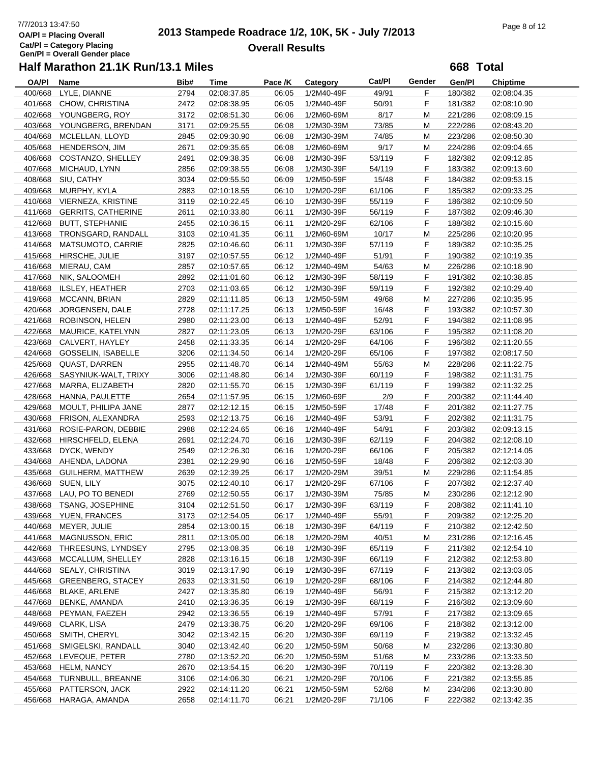# 7/7/2013 13:47:50<br> **2013 Stampede Roadrace 1/2, 10K, 5K - July 7/2013** Page 8 of 12<br> **Page 8 of 12 Overall Results**

**668 Total**

| <b>OA/PI</b> | Name                       | Bib# | <b>Time</b> | Pace /K | Category   | Cat/Pl | Gender | Gen/Pl  | <b>Chiptime</b> |
|--------------|----------------------------|------|-------------|---------|------------|--------|--------|---------|-----------------|
| 400/668      | LYLE, DIANNE               | 2794 | 02:08:37.85 | 06:05   | 1/2M40-49F | 49/91  | F      | 180/382 | 02:08:04.35     |
| 401/668      | CHOW, CHRISTINA            | 2472 | 02:08:38.95 | 06:05   | 1/2M40-49F | 50/91  | F.     | 181/382 | 02:08:10.90     |
|              | 402/668 YOUNGBERG, ROY     | 3172 | 02:08:51.30 | 06:06   | 1/2M60-69M | 8/17   | M      | 221/286 | 02:08:09.15     |
| 403/668      | YOUNGBERG, BRENDAN         | 3171 | 02:09:25.55 | 06:08   | 1/2M30-39M | 73/85  | М      | 222/286 | 02:08:43.20     |
| 404/668      | MCLELLAN, LLOYD            | 2845 | 02:09:30.90 | 06:08   | 1/2M30-39M | 74/85  | M      | 223/286 | 02:08:50.30     |
| 405/668      | HENDERSON, JIM             | 2671 | 02:09:35.65 | 06:08   | 1/2M60-69M | 9/17   | M      | 224/286 | 02:09:04.65     |
| 406/668      | COSTANZO, SHELLEY          | 2491 |             | 06:08   | 1/2M30-39F | 53/119 | F      | 182/382 |                 |
|              |                            |      | 02:09:38.35 |         |            |        |        |         | 02:09:12.85     |
| 407/668      | MICHAUD, LYNN              | 2856 | 02:09:38.55 | 06:08   | 1/2M30-39F | 54/119 | F      | 183/382 | 02:09:13.60     |
| 408/668      | SIU, CATHY                 | 3034 | 02:09:55.50 | 06:09   | 1/2M50-59F | 15/48  | F      | 184/382 | 02:09:53.15     |
| 409/668      | MURPHY, KYLA               | 2883 | 02:10:18.55 | 06:10   | 1/2M20-29F | 61/106 | F      | 185/382 | 02:09:33.25     |
|              | 410/668 VIERNEZA, KRISTINE | 3119 | 02:10:22.45 | 06:10   | 1/2M30-39F | 55/119 | F      | 186/382 | 02:10:09.50     |
| 411/668      | <b>GERRITS, CATHERINE</b>  | 2611 | 02:10:33.80 | 06:11   | 1/2M30-39F | 56/119 | F      | 187/382 | 02:09:46.30     |
| 412/668      | <b>BUTT, STEPHANIE</b>     | 2455 | 02:10:36.15 | 06:11   | 1/2M20-29F | 62/106 | F      | 188/382 | 02:10:15.60     |
| 413/668      | TRONSGARD, RANDALL         | 3103 | 02:10:41.35 | 06:11   | 1/2M60-69M | 10/17  | M      | 225/286 | 02:10:20.95     |
| 414/668      | MATSUMOTO, CARRIE          | 2825 | 02:10:46.60 | 06:11   | 1/2M30-39F | 57/119 | F      | 189/382 | 02:10:35.25     |
| 415/668      | HIRSCHE, JULIE             | 3197 | 02:10:57.55 | 06:12   | 1/2M40-49F | 51/91  | F      | 190/382 | 02:10:19.35     |
| 416/668      | MIERAU, CAM                | 2857 | 02:10:57.65 | 06:12   | 1/2M40-49M | 54/63  | M      | 226/286 | 02:10:18.90     |
| 417/668      | NIK, SALOOMEH              | 2892 | 02:11:01.60 | 06:12   | 1/2M30-39F | 58/119 | F      | 191/382 | 02:10:38.85     |
| 418/668      | <b>ILSLEY, HEATHER</b>     | 2703 | 02:11:03.65 | 06:12   | 1/2M30-39F | 59/119 | F      | 192/382 | 02:10:29.40     |
| 419/668      | MCCANN, BRIAN              | 2829 | 02:11:11.85 | 06:13   | 1/2M50-59M | 49/68  | M      | 227/286 | 02:10:35.95     |
| 420/668      | JORGENSEN, DALE            | 2728 | 02:11:17.25 | 06:13   | 1/2M50-59F | 16/48  | F      | 193/382 | 02:10:57.30     |
| 421/668      | ROBINSON, HELEN            | 2980 | 02:11:23.00 | 06:13   | 1/2M40-49F | 52/91  | F      | 194/382 | 02:11:08.95     |
| 422/668      | MAURICE, KATELYNN          | 2827 | 02:11:23.05 | 06:13   | 1/2M20-29F | 63/106 | F      | 195/382 | 02:11:08.20     |
|              |                            |      |             |         |            |        | F      |         |                 |
| 423/668      | CALVERT, HAYLEY            | 2458 | 02:11:33.35 | 06:14   | 1/2M20-29F | 64/106 |        | 196/382 | 02:11:20.55     |
| 424/668      | <b>GOSSELIN, ISABELLE</b>  | 3206 | 02:11:34.50 | 06:14   | 1/2M20-29F | 65/106 | F      | 197/382 | 02:08:17.50     |
| 425/668      | QUAST, DARREN              | 2955 | 02:11:48.70 | 06:14   | 1/2M40-49M | 55/63  | M      | 228/286 | 02:11:22.75     |
| 426/668      | SASYNIUK-WALT, TRIXY       | 3006 | 02:11:48.80 | 06:14   | 1/2M30-39F | 60/119 | F      | 198/382 | 02:11:31.75     |
| 427/668      | MARRA, ELIZABETH           | 2820 | 02:11:55.70 | 06:15   | 1/2M30-39F | 61/119 | F      | 199/382 | 02:11:32.25     |
| 428/668      | HANNA, PAULETTE            | 2654 | 02:11:57.95 | 06:15   | 1/2M60-69F | 2/9    | F      | 200/382 | 02:11:44.40     |
| 429/668      | MOULT, PHILIPA JANE        | 2877 | 02:12:12.15 | 06:15   | 1/2M50-59F | 17/48  | F      | 201/382 | 02:11:27.75     |
| 430/668      | FRISON, ALEXANDRA          | 2593 | 02:12:13.75 | 06:16   | 1/2M40-49F | 53/91  | F      | 202/382 | 02:11:31.75     |
| 431/668      | ROSIE-PARON, DEBBIE        | 2988 | 02:12:24.65 | 06:16   | 1/2M40-49F | 54/91  | F      | 203/382 | 02:09:13.15     |
| 432/668      | HIRSCHFELD, ELENA          | 2691 | 02:12:24.70 | 06:16   | 1/2M30-39F | 62/119 | F      | 204/382 | 02:12:08.10     |
| 433/668      | DYCK, WENDY                | 2549 | 02:12:26.30 | 06:16   | 1/2M20-29F | 66/106 | F      | 205/382 | 02:12:14.05     |
| 434/668      | AHENDA, LADONA             | 2381 | 02:12:29.90 | 06:16   | 1/2M50-59F | 18/48  | F      | 206/382 | 02:12:03.30     |
| 435/668      | <b>GUILHERM, MATTHEW</b>   | 2639 | 02:12:39.25 | 06:17   | 1/2M20-29M | 39/51  | M      | 229/286 | 02:11:54.85     |
| 436/668      | SUEN, LILY                 | 3075 | 02:12:40.10 | 06:17   | 1/2M20-29F | 67/106 | F      | 207/382 | 02:12:37.40     |
| 437/668      | LAU, PO TO BENEDI          | 2769 | 02:12:50.55 | 06:17   | 1/2M30-39M | 75/85  | M      | 230/286 | 02:12:12.90     |
|              | 438/668 TSANG, JOSEPHINE   | 3104 | 02:12:51.50 | 06:17   | 1/2M30-39F | 63/119 | F      | 208/382 | 02:11:41.10     |
|              | 439/668 YUEN, FRANCES      | 3173 | 02:12:54.05 | 06:17   | 1/2M40-49F | 55/91  | F      | 209/382 | 02:12:25.20     |
| 440/668      | MEYER, JULIE               | 2854 | 02:13:00.15 | 06:18   | 1/2M30-39F | 64/119 | F      | 210/382 | 02:12:42.50     |
| 441/668      | <b>MAGNUSSON, ERIC</b>     |      | 02:13:05.00 | 06:18   | 1/2M20-29M |        |        | 231/286 | 02:12:16.45     |
|              |                            | 2811 |             |         |            | 40/51  | M      |         |                 |
| 442/668      | THREESUNS, LYNDSEY         | 2795 | 02:13:08.35 | 06:18   | 1/2M30-39F | 65/119 | F.     | 211/382 | 02:12:54.10     |
| 443/668      | MCCALLUM, SHELLEY          | 2828 | 02:13:16.15 | 06:18   | 1/2M30-39F | 66/119 | F.     | 212/382 | 02:12:53.80     |
| 444/668      | SEALY, CHRISTINA           | 3019 | 02:13:17.90 | 06:19   | 1/2M30-39F | 67/119 | F.     | 213/382 | 02:13:03.05     |
| 445/668      | <b>GREENBERG, STACEY</b>   | 2633 | 02:13:31.50 | 06:19   | 1/2M20-29F | 68/106 | F.     | 214/382 | 02:12:44.80     |
| 446/668      | <b>BLAKE, ARLENE</b>       | 2427 | 02:13:35.80 | 06:19   | 1/2M40-49F | 56/91  | F      | 215/382 | 02:13:12.20     |
| 447/668      | BENKE, AMANDA              | 2410 | 02:13:36.35 | 06:19   | 1/2M30-39F | 68/119 | F      | 216/382 | 02:13:09.60     |
| 448/668      | PEYMAN, FAEZEH             | 2942 | 02:13:36.55 | 06:19   | 1/2M40-49F | 57/91  | F.     | 217/382 | 02:13:09.65     |
| 449/668      | CLARK, LISA                | 2479 | 02:13:38.75 | 06:20   | 1/2M20-29F | 69/106 | F      | 218/382 | 02:13:12.00     |
| 450/668      | SMITH, CHERYL              | 3042 | 02:13:42.15 | 06:20   | 1/2M30-39F | 69/119 | F.     | 219/382 | 02:13:32.45     |
| 451/668      | SMIGELSKI, RANDALL         | 3040 | 02:13:42.40 | 06:20   | 1/2M50-59M | 50/68  | M      | 232/286 | 02:13:30.80     |
| 452/668      | LEVEQUE, PETER             | 2780 | 02:13:52.20 | 06:20   | 1/2M50-59M | 51/68  | M      | 233/286 | 02:13:33.50     |
| 453/668      | <b>HELM, NANCY</b>         | 2670 | 02:13:54.15 | 06:20   | 1/2M30-39F | 70/119 | F      | 220/382 | 02:13:28.30     |
| 454/668      | TURNBULL, BREANNE          | 3106 | 02:14:06.30 | 06:21   | 1/2M20-29F | 70/106 | F      | 221/382 | 02:13:55.85     |
| 455/668      | PATTERSON, JACK            | 2922 | 02:14:11.20 | 06:21   | 1/2M50-59M | 52/68  | M      | 234/286 | 02:13:30.80     |
|              | 456/668 HARAGA, AMANDA     | 2658 | 02:14:11.70 | 06:21   | 1/2M20-29F | 71/106 | F.     | 222/382 | 02:13:42.35     |
|              |                            |      |             |         |            |        |        |         |                 |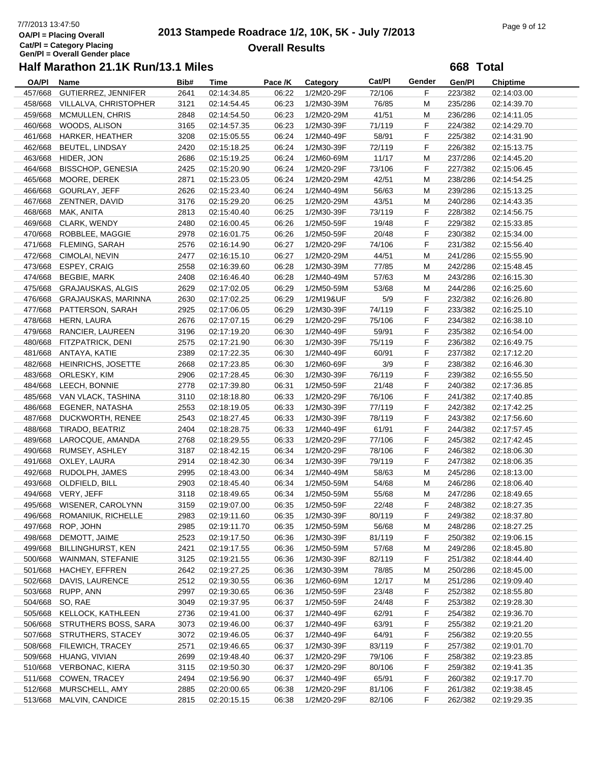# 7/7/2013 13:47:50<br> **2013 Stampede Roadrace 1/2, 10K, 5K - July 7/2013** Page 9 of 12<br> **Page 9 of 12 Overall Results**

**668 Total**

| <b>OA/PI</b> | Name                        | Bib# | Time        | Pace /K | Category   | Cat/Pl | Gender | Gen/Pl  | <b>Chiptime</b> |  |
|--------------|-----------------------------|------|-------------|---------|------------|--------|--------|---------|-----------------|--|
| 457/668      | GUTIERREZ, JENNIFER         | 2641 | 02:14:34.85 | 06:22   | 1/2M20-29F | 72/106 | F      | 223/382 | 02:14:03.00     |  |
| 458/668      | VILLALVA, CHRISTOPHER       | 3121 | 02:14:54.45 | 06:23   | 1/2M30-39M | 76/85  | M      | 235/286 | 02:14:39.70     |  |
| 459/668      | MCMULLEN, CHRIS             | 2848 | 02:14:54.50 | 06:23   | 1/2M20-29M | 41/51  | M      | 236/286 | 02:14:11.05     |  |
| 460/668      | WOODS, ALISON               | 3165 | 02:14:57.35 | 06:23   | 1/2M30-39F | 71/119 | F      | 224/382 | 02:14:29.70     |  |
| 461/668      | HARKER, HEATHER             | 3208 | 02:15:05.55 | 06:24   | 1/2M40-49F | 58/91  | F      | 225/382 | 02:14:31.90     |  |
| 462/668      | <b>BEUTEL, LINDSAY</b>      | 2420 | 02:15:18.25 | 06:24   | 1/2M30-39F | 72/119 | F      | 226/382 | 02:15:13.75     |  |
| 463/668      | HIDER, JON                  | 2686 | 02:15:19.25 | 06:24   | 1/2M60-69M | 11/17  | М      | 237/286 | 02:14:45.20     |  |
| 464/668      | <b>BISSCHOP, GENESIA</b>    | 2425 | 02:15:20.90 | 06:24   | 1/2M20-29F | 73/106 | F      | 227/382 | 02:15:06.45     |  |
| 465/668      | MOORE, DEREK                | 2871 | 02:15:23.05 | 06:24   | 1/2M20-29M | 42/51  | М      | 238/286 | 02:14:54.25     |  |
| 466/668      | GOURLAY, JEFF               | 2626 | 02:15:23.40 | 06:24   | 1/2M40-49M | 56/63  | M      | 239/286 | 02:15:13.25     |  |
| 467/668      | ZENTNER, DAVID              | 3176 | 02:15:29.20 | 06:25   | 1/2M20-29M | 43/51  | M      | 240/286 | 02:14:43.35     |  |
| 468/668      | MAK, ANITA                  | 2813 |             | 06:25   | 1/2M30-39F | 73/119 | F      | 228/382 |                 |  |
|              |                             |      | 02:15:40.40 |         |            |        | F      |         | 02:14:56.75     |  |
|              | 469/668 CLARK, WENDY        | 2480 | 02:16:00.45 | 06:26   | 1/2M50-59F | 19/48  |        | 229/382 | 02:15:33.85     |  |
| 470/668      | ROBBLEE, MAGGIE             | 2978 | 02:16:01.75 | 06:26   | 1/2M50-59F | 20/48  | F      | 230/382 | 02:15:34.00     |  |
| 471/668      | <b>FLEMING, SARAH</b>       | 2576 | 02:16:14.90 | 06:27   | 1/2M20-29F | 74/106 | F      | 231/382 | 02:15:56.40     |  |
| 472/668      | CIMOLAI, NEVIN              | 2477 | 02:16:15.10 | 06:27   | 1/2M20-29M | 44/51  | M      | 241/286 | 02:15:55.90     |  |
| 473/668      | <b>ESPEY, CRAIG</b>         | 2558 | 02:16:39.60 | 06:28   | 1/2M30-39M | 77/85  | М      | 242/286 | 02:15:48.45     |  |
| 474/668      | <b>BEGBIE, MARK</b>         | 2408 | 02:16:46.40 | 06:28   | 1/2M40-49M | 57/63  | M      | 243/286 | 02:16:15.30     |  |
| 475/668      | <b>GRAJAUSKAS, ALGIS</b>    | 2629 | 02:17:02.05 | 06:29   | 1/2M50-59M | 53/68  | M      | 244/286 | 02:16:25.60     |  |
| 476/668      | GRAJAUSKAS, MARINNA         | 2630 | 02:17:02.25 | 06:29   | 1/2M19&UF  | 5/9    | F      | 232/382 | 02:16:26.80     |  |
| 477/668      | PATTERSON, SARAH            | 2925 | 02:17:06.05 | 06:29   | 1/2M30-39F | 74/119 | F      | 233/382 | 02:16:25.10     |  |
| 478/668      | HERN, LAURA                 | 2676 | 02:17:07.15 | 06:29   | 1/2M20-29F | 75/106 | F      | 234/382 | 02:16:38.10     |  |
| 479/668      | RANCIER, LAUREEN            | 3196 | 02:17:19.20 | 06:30   | 1/2M40-49F | 59/91  | F      | 235/382 | 02:16:54.00     |  |
| 480/668      | FITZPATRICK, DENI           | 2575 | 02:17:21.90 | 06:30   | 1/2M30-39F | 75/119 | F      | 236/382 | 02:16:49.75     |  |
| 481/668      | ANTAYA, KATIE               | 2389 | 02:17:22.35 | 06:30   | 1/2M40-49F | 60/91  | F      | 237/382 | 02:17:12.20     |  |
| 482/668      | <b>HEINRICHS, JOSETTE</b>   | 2668 | 02:17:23.85 | 06:30   | 1/2M60-69F | 3/9    | F      | 238/382 | 02:16:46.30     |  |
| 483/668      | ORLESKY, KIM                | 2906 | 02:17:28.45 | 06:30   | 1/2M30-39F | 76/119 | F      | 239/382 | 02:16:55.50     |  |
| 484/668      | LEECH, BONNIE               | 2778 | 02:17:39.80 | 06:31   | 1/2M50-59F | 21/48  | F      | 240/382 | 02:17:36.85     |  |
|              | 485/668 VAN VLACK, TASHINA  | 3110 | 02:18:18.80 | 06:33   | 1/2M20-29F | 76/106 | F      | 241/382 | 02:17:40.85     |  |
| 486/668      | EGENER, NATASHA             | 2553 | 02:18:19.05 | 06:33   | 1/2M30-39F | 77/119 | F      | 242/382 | 02:17:42.25     |  |
| 487/668      | DUCKWORTH, RENEE            | 2543 | 02:18:27.45 | 06:33   | 1/2M30-39F | 78/119 | F      | 243/382 | 02:17:56.60     |  |
| 488/668      | TIRADO, BEATRIZ             | 2404 | 02:18:28.75 | 06:33   | 1/2M40-49F | 61/91  | F      | 244/382 | 02:17:57.45     |  |
| 489/668      | LAROCQUE, AMANDA            | 2768 | 02:18:29.55 | 06:33   | 1/2M20-29F | 77/106 | F      | 245/382 | 02:17:42.45     |  |
| 490/668      | RUMSEY, ASHLEY              | 3187 | 02:18:42.15 | 06:34   | 1/2M20-29F | 78/106 | F      | 246/382 | 02:18:06.30     |  |
| 491/668      | OXLEY, LAURA                | 2914 | 02:18:42.30 | 06:34   | 1/2M30-39F | 79/119 | F      | 247/382 | 02:18:06.35     |  |
| 492/668      | RUDOLPH, JAMES              | 2995 | 02:18:43.00 |         |            | 58/63  | M      | 245/286 |                 |  |
|              |                             |      |             | 06:34   | 1/2M40-49M |        |        |         | 02:18:13.00     |  |
| 493/668      | OLDFIELD, BILL              | 2903 | 02:18:45.40 | 06:34   | 1/2M50-59M | 54/68  | М      | 246/286 | 02:18:06.40     |  |
|              | 494/668 VERY, JEFF          | 3118 | 02:18:49.65 | 06:34   | 1/2M50-59M | 55/68  | M      | 247/286 | 02:18:49.65     |  |
|              | 495/668 WISENER, CAROLYNN   | 3159 | 02:19:07.00 | 06:35   | 1/2M50-59F | 22/48  | F      | 248/382 | 02:18:27.35     |  |
|              | 496/668 ROMANIUK, RICHELLE  | 2983 | 02:19:11.60 | 06:35   | 1/2M30-39F | 80/119 | F      | 249/382 | 02:18:37.80     |  |
| 497/668      | ROP, JOHN                   | 2985 | 02:19:11.70 | 06:35   | 1/2M50-59M | 56/68  | M      | 248/286 | 02:18:27.25     |  |
| 498/668      | DEMOTT, JAIME               | 2523 | 02:19:17.50 | 06:36   | 1/2M30-39F | 81/119 | F.     | 250/382 | 02:19:06.15     |  |
| 499/668      | <b>BILLINGHURST, KEN</b>    | 2421 | 02:19:17.55 | 06:36   | 1/2M50-59M | 57/68  | M      | 249/286 | 02:18:45.80     |  |
| 500/668      | WAINMAN, STEFANIE           | 3125 | 02:19:21.55 | 06:36   | 1/2M30-39F | 82/119 | F      | 251/382 | 02:18:44.40     |  |
| 501/668      | HACHEY, EFFREN              | 2642 | 02:19:27.25 | 06:36   | 1/2M30-39M | 78/85  | M      | 250/286 | 02:18:45.00     |  |
| 502/668      | DAVIS, LAURENCE             | 2512 | 02:19:30.55 | 06:36   | 1/2M60-69M | 12/17  | M      | 251/286 | 02:19:09.40     |  |
| 503/668      | RUPP, ANN                   | 2997 | 02:19:30.65 | 06:36   | 1/2M50-59F | 23/48  | F.     | 252/382 | 02:18:55.80     |  |
| 504/668      | SO, RAE                     | 3049 | 02:19:37.95 | 06:37   | 1/2M50-59F | 24/48  | F      | 253/382 | 02:19:28.30     |  |
| 505/668      | KELLOCK, KATHLEEN           | 2736 | 02:19:41.00 | 06:37   | 1/2M40-49F | 62/91  | F.     | 254/382 | 02:19:36.70     |  |
| 506/668      | <b>STRUTHERS BOSS, SARA</b> | 3073 | 02:19:46.00 | 06:37   | 1/2M40-49F | 63/91  | F      | 255/382 | 02:19:21.20     |  |
| 507/668      | STRUTHERS, STACEY           | 3072 | 02:19:46.05 | 06:37   | 1/2M40-49F | 64/91  | F      | 256/382 | 02:19:20.55     |  |
| 508/668      | FILEWICH, TRACEY            | 2571 | 02:19:46.65 | 06:37   | 1/2M30-39F | 83/119 | F      | 257/382 | 02:19:01.70     |  |
| 509/668      | HUANG, VIVIAN               | 2699 | 02:19:48.40 | 06:37   | 1/2M20-29F | 79/106 | F      | 258/382 | 02:19:23.85     |  |
| 510/668      | VERBONAC, KIERA             | 3115 | 02:19:50.30 | 06:37   | 1/2M20-29F | 80/106 | F      | 259/382 | 02:19:41.35     |  |
| 511/668      | COWEN, TRACEY               | 2494 | 02:19:56.90 | 06:37   | 1/2M40-49F | 65/91  | F.     | 260/382 | 02:19:17.70     |  |
| 512/668      | MURSCHELL, AMY              | 2885 | 02:20:00.65 | 06:38   | 1/2M20-29F | 81/106 | F      | 261/382 | 02:19:38.45     |  |
| 513/668      | MALVIN, CANDICE             | 2815 | 02:20:15.15 | 06:38   | 1/2M20-29F | 82/106 | F      | 262/382 | 02:19:29.35     |  |
|              |                             |      |             |         |            |        |        |         |                 |  |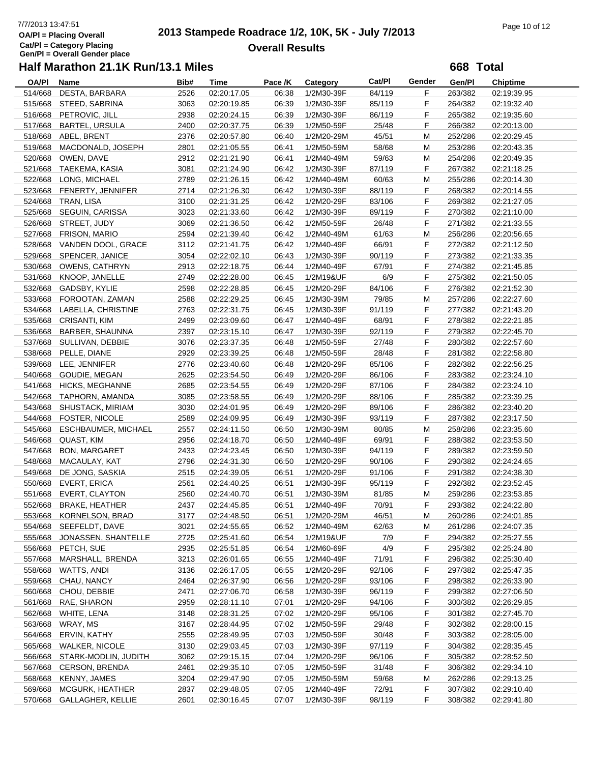# 7/7/2013 13:47:51<br> **2013 Stampede Roadrace 1/2, 10K, 5K - July 7/2013** Page 10 of 12<br> **Page 10 of 12 Overall Results**

**668 Total**

| <b>OA/PI</b> | Name                     | Bib# | Time        | Pace /K | Category   | <b>Cat/PI</b> | Gender | Gen/Pl  | Chiptime    |
|--------------|--------------------------|------|-------------|---------|------------|---------------|--------|---------|-------------|
| 514/668      | DESTA, BARBARA           | 2526 | 02:20:17.05 | 06:38   | 1/2M30-39F | 84/119        | F      | 263/382 | 02:19:39.95 |
| 515/668      | STEED, SABRINA           | 3063 | 02:20:19.85 | 06:39   | 1/2M30-39F | 85/119        | F      | 264/382 | 02:19:32.40 |
| 516/668      | PETROVIC, JILL           | 2938 | 02:20:24.15 | 06:39   | 1/2M30-39F | 86/119        | F      | 265/382 | 02:19:35.60 |
| 517/668      | <b>BARTEL, URSULA</b>    | 2400 | 02:20:37.75 | 06:39   | 1/2M50-59F | 25/48         | F      | 266/382 | 02:20:13.00 |
| 518/668      | ABEL, BRENT              | 2376 | 02:20:57.80 | 06:40   | 1/2M20-29M | 45/51         | M      | 252/286 | 02:20:29.45 |
| 519/668      | MACDONALD, JOSEPH        | 2801 | 02:21:05.55 | 06:41   | 1/2M50-59M | 58/68         | M      | 253/286 | 02:20:43.35 |
|              |                          |      |             |         |            |               |        |         |             |
| 520/668      | OWEN, DAVE               | 2912 | 02:21:21.90 | 06:41   | 1/2M40-49M | 59/63         | M      | 254/286 | 02:20:49.35 |
| 521/668      | TAEKEMA, KASIA           | 3081 | 02:21:24.90 | 06:42   | 1/2M30-39F | 87/119        | F      | 267/382 | 02:21:18.25 |
| 522/668      | LONG, MICHAEL            | 2789 | 02:21:26.15 | 06:42   | 1/2M40-49M | 60/63         | М      | 255/286 | 02:20:14.30 |
| 523/668      | FENERTY, JENNIFER        | 2714 | 02:21:26.30 | 06:42   | 1/2M30-39F | 88/119        | F      | 268/382 | 02:20:14.55 |
| 524/668      | TRAN, LISA               | 3100 | 02:21:31.25 | 06:42   | 1/2M20-29F | 83/106        | F      | 269/382 | 02:21:27.05 |
| 525/668      | SEGUIN, CARISSA          | 3023 | 02:21:33.60 | 06:42   | 1/2M30-39F | 89/119        | F      | 270/382 | 02:21:10.00 |
| 526/668      | STREET, JUDY             | 3069 | 02:21:36.50 | 06:42   | 1/2M50-59F | 26/48         | F      | 271/382 | 02:21:33.55 |
| 527/668      | FRISON, MARIO            | 2594 | 02:21:39.40 | 06:42   | 1/2M40-49M | 61/63         | M      | 256/286 | 02:20:56.65 |
| 528/668      | VANDEN DOOL, GRACE       | 3112 | 02:21:41.75 | 06:42   | 1/2M40-49F | 66/91         | F      | 272/382 | 02:21:12.50 |
| 529/668      | SPENCER, JANICE          | 3054 | 02:22:02.10 | 06:43   | 1/2M30-39F | 90/119        | F      | 273/382 | 02:21:33.35 |
| 530/668      | <b>OWENS, CATHRYN</b>    | 2913 | 02:22:18.75 | 06:44   | 1/2M40-49F | 67/91         | F      | 274/382 | 02:21:45.85 |
| 531/668      | KNOOP, JANELLE           | 2749 | 02:22:28.00 | 06:45   | 1/2M19&UF  | 6/9           | F      | 275/382 | 02:21:50.05 |
| 532/668      | GADSBY, KYLIE            | 2598 | 02:22:28.85 | 06:45   | 1/2M20-29F | 84/106        | F      | 276/382 | 02:21:52.30 |
| 533/668      | FOROOTAN, ZAMAN          | 2588 | 02:22:29.25 | 06:45   | 1/2M30-39M | 79/85         | M      | 257/286 | 02:22:27.60 |
| 534/668      | LABELLA, CHRISTINE       | 2763 | 02:22:31.75 | 06:45   | 1/2M30-39F | 91/119        | F      | 277/382 | 02:21:43.20 |
|              |                          |      |             |         |            |               | F      |         | 02:22:21.85 |
| 535/668      | <b>CRISANTI, KIM</b>     | 2499 | 02:23:09.60 | 06:47   | 1/2M40-49F | 68/91         |        | 278/382 |             |
| 536/668      | BARBER, SHAUNNA          | 2397 | 02:23:15.10 | 06:47   | 1/2M30-39F | 92/119        | F      | 279/382 | 02:22:45.70 |
| 537/668      | SULLIVAN, DEBBIE         | 3076 | 02:23:37.35 | 06:48   | 1/2M50-59F | 27/48         | F      | 280/382 | 02:22:57.60 |
| 538/668      | PELLE, DIANE             | 2929 | 02:23:39.25 | 06:48   | 1/2M50-59F | 28/48         | F      | 281/382 | 02:22:58.80 |
| 539/668      | LEE, JENNIFER            | 2776 | 02:23:40.60 | 06:48   | 1/2M20-29F | 85/106        | F      | 282/382 | 02:22:56.25 |
| 540/668      | GOUDIE, MEGAN            | 2625 | 02:23:54.50 | 06:49   | 1/2M20-29F | 86/106        | F      | 283/382 | 02:23:24.10 |
| 541/668      | <b>HICKS, MEGHANNE</b>   | 2685 | 02:23:54.55 | 06:49   | 1/2M20-29F | 87/106        | F      | 284/382 | 02:23:24.10 |
| 542/668      | TAPHORN, AMANDA          | 3085 | 02:23:58.55 | 06:49   | 1/2M20-29F | 88/106        | F      | 285/382 | 02:23:39.25 |
| 543/668      | SHUSTACK, MIRIAM         | 3030 | 02:24:01.95 | 06:49   | 1/2M20-29F | 89/106        | F      | 286/382 | 02:23:40.20 |
| 544/668      | <b>FOSTER, NICOLE</b>    | 2589 | 02:24:09.95 | 06:49   | 1/2M30-39F | 93/119        | F      | 287/382 | 02:23:17.50 |
| 545/668      | ESCHBAUMER, MICHAEL      | 2557 | 02:24:11.50 | 06:50   | 1/2M30-39M | 80/85         | M      | 258/286 | 02:23:35.60 |
| 546/668      | QUAST, KIM               | 2956 | 02:24:18.70 | 06:50   | 1/2M40-49F | 69/91         | F      | 288/382 | 02:23:53.50 |
| 547/668      | <b>BON, MARGARET</b>     | 2433 | 02:24:23.45 | 06:50   | 1/2M30-39F | 94/119        | F      | 289/382 | 02:23:59.50 |
| 548/668      | MACAULAY, KAT            | 2796 | 02:24:31.30 | 06:50   | 1/2M20-29F | 90/106        | F      | 290/382 | 02:24:24.65 |
| 549/668      | DE JONG, SASKIA          | 2515 | 02:24:39.05 | 06:51   | 1/2M20-29F | 91/106        | F      | 291/382 | 02:24:38.30 |
| 550/668      | <b>EVERT, ERICA</b>      | 2561 | 02:24:40.25 | 06:51   | 1/2M30-39F | 95/119        | F      | 292/382 | 02:23:52.45 |
|              |                          |      |             |         |            |               |        |         |             |
| 551/668      | <b>EVERT, CLAYTON</b>    | 2560 | 02:24:40.70 | 06:51   | 1/2M30-39M | 81/85         | M      | 259/286 | 02:23:53.85 |
| 552/668      | <b>BRAKE, HEATHER</b>    | 2437 | 02:24:45.85 | 06:51   | 1/2M40-49F | 70/91         | F      | 293/382 | 02:24:22.80 |
|              | 553/668 KORNELSON, BRAD  | 3177 | 02:24:48.50 | 06:51   | 1/2M20-29M | 46/51         | M      | 260/286 | 02:24:01.85 |
| 554/668      | SEEFELDT, DAVE           | 3021 | 02:24:55.65 | 06:52   | 1/2M40-49M | 62/63         | M      | 261/286 | 02:24:07.35 |
| 555/668      | JONASSEN, SHANTELLE      | 2725 | 02:25:41.60 | 06:54   | 1/2M19&UF  | 7/9           | F      | 294/382 | 02:25:27.55 |
| 556/668      | PETCH, SUE               | 2935 | 02:25:51.85 | 06:54   | 1/2M60-69F | 4/9           | F      | 295/382 | 02:25:24.80 |
| 557/668      | MARSHALL, BRENDA         | 3213 | 02:26:01.65 | 06:55   | 1/2M40-49F | 71/91         | F      | 296/382 | 02:25:30.40 |
| 558/668      | WATTS, ANDI              | 3136 | 02:26:17.05 | 06:55   | 1/2M20-29F | 92/106        | F      | 297/382 | 02:25:47.35 |
| 559/668      | CHAU, NANCY              | 2464 | 02:26:37.90 | 06:56   | 1/2M20-29F | 93/106        | F      | 298/382 | 02:26:33.90 |
| 560/668      | CHOU, DEBBIE             | 2471 | 02:27:06.70 | 06:58   | 1/2M30-39F | 96/119        | F      | 299/382 | 02:27:06.50 |
| 561/668      | RAE, SHARON              | 2959 | 02:28:11.10 | 07:01   | 1/2M20-29F | 94/106        | F      | 300/382 | 02:26:29.85 |
| 562/668      | WHITE, LENA              | 3148 | 02:28:31.25 | 07:02   | 1/2M20-29F | 95/106        | F      | 301/382 | 02:27:45.70 |
| 563/668      | WRAY, MS                 | 3167 | 02:28:44.95 | 07:02   | 1/2M50-59F | 29/48         | F      | 302/382 | 02:28:00.15 |
| 564/668      | ERVIN, KATHY             | 2555 | 02:28:49.95 | 07:03   | 1/2M50-59F | 30/48         | F      | 303/382 | 02:28:05.00 |
| 565/668      | <b>WALKER, NICOLE</b>    | 3130 | 02:29:03.45 | 07:03   | 1/2M30-39F | 97/119        | F      | 304/382 | 02:28:35.45 |
| 566/668      | STARK-MODLIN, JUDITH     | 3062 | 02:29:15.15 | 07:04   | 1/2M20-29F | 96/106        | F      | 305/382 | 02:28:52.50 |
|              |                          |      |             |         |            |               |        |         |             |
| 567/668      | <b>CERSON, BRENDA</b>    | 2461 | 02:29:35.10 | 07:05   | 1/2M50-59F | 31/48         | F      | 306/382 | 02:29:34.10 |
| 568/668      | KENNY, JAMES             | 3204 | 02:29:47.90 | 07:05   | 1/2M50-59M | 59/68         | M      | 262/286 | 02:29:13.25 |
| 569/668      | MCGURK, HEATHER          | 2837 | 02:29:48.05 | 07:05   | 1/2M40-49F | 72/91         | F      | 307/382 | 02:29:10.40 |
| 570/668      | <b>GALLAGHER, KELLIE</b> | 2601 | 02:30:16.45 | 07:07   | 1/2M30-39F | 98/119        | F      | 308/382 | 02:29:41.80 |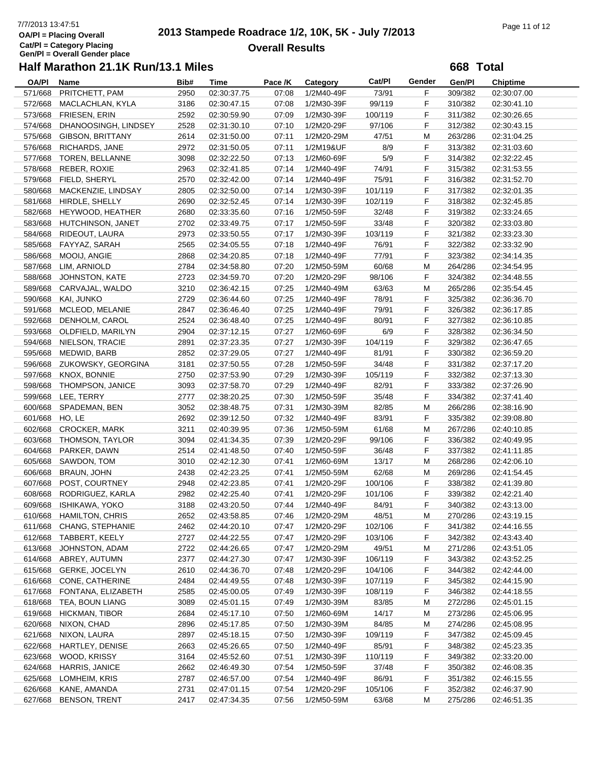# 7/7/2013 13:47:51<br> **2013 Stampede Roadrace 1/2, 10K, 5K - July 7/2013** Page 11 of 12<br> **DAPI** = Placing Overall **Overall Results**

**668 Total**

| OA/PI   | Name                    | Bib# | Time        | Pace /K | Category   | Cat/Pl  | Gender | Gen/Pl  | <b>Chiptime</b> |
|---------|-------------------------|------|-------------|---------|------------|---------|--------|---------|-----------------|
| 571/668 | PRITCHETT, PAM          | 2950 | 02:30:37.75 | 07:08   | 1/2M40-49F | 73/91   | F      | 309/382 | 02:30:07.00     |
| 572/668 | MACLACHLAN, KYLA        | 3186 | 02:30:47.15 | 07:08   | 1/2M30-39F | 99/119  | F.     | 310/382 | 02:30:41.10     |
| 573/668 | FRIESEN, ERIN           | 2592 | 02:30:59.90 | 07:09   | 1/2M30-39F | 100/119 | F      | 311/382 | 02:30:26.65     |
| 574/668 | DHANOOSINGH, LINDSEY    | 2528 | 02:31:30.10 | 07:10   | 1/2M20-29F | 97/106  | F      | 312/382 | 02:30:43.15     |
| 575/668 | <b>GIBSON, BRITTANY</b> | 2614 | 02:31:50.00 | 07:11   | 1/2M20-29M | 47/51   | M      | 263/286 | 02:31:04.25     |
| 576/668 | RICHARDS, JANE          | 2972 | 02:31:50.05 | 07:11   | 1/2M19&UF  | 8/9     | F      | 313/382 | 02:31:03.60     |
| 577/668 | TOREN, BELLANNE         | 3098 | 02:32:22.50 | 07:13   | 1/2M60-69F | 5/9     | F      | 314/382 | 02:32:22.45     |
|         |                         |      |             |         |            |         |        |         |                 |
| 578/668 | REBER, ROXIE            | 2963 | 02:32:41.85 | 07:14   | 1/2M40-49F | 74/91   | F      | 315/382 | 02:31:53.55     |
| 579/668 | FIELD, SHERYL           | 2570 | 02:32:42.00 | 07:14   | 1/2M40-49F | 75/91   | F      | 316/382 | 02:31:52.70     |
| 580/668 | MACKENZIE, LINDSAY      | 2805 | 02:32:50.00 | 07:14   | 1/2M30-39F | 101/119 | F      | 317/382 | 02:32:01.35     |
| 581/668 | HIRDLE, SHELLY          | 2690 | 02:32:52.45 | 07:14   | 1/2M30-39F | 102/119 | F      | 318/382 | 02:32:45.85     |
| 582/668 | HEYWOOD, HEATHER        | 2680 | 02:33:35.60 | 07:16   | 1/2M50-59F | 32/48   | F      | 319/382 | 02:33:24.65     |
| 583/668 | HUTCHINSON, JANET       | 2702 | 02:33:49.75 | 07:17   | 1/2M50-59F | 33/48   | F      | 320/382 | 02:33:03.80     |
| 584/668 | RIDEOUT, LAURA          | 2973 | 02:33:50.55 | 07:17   | 1/2M30-39F | 103/119 | F      | 321/382 | 02:33:23.30     |
| 585/668 | FAYYAZ, SARAH           | 2565 | 02:34:05.55 | 07:18   | 1/2M40-49F | 76/91   | F      | 322/382 | 02:33:32.90     |
| 586/668 | MOOIJ, ANGIE            | 2868 | 02:34:20.85 | 07:18   | 1/2M40-49F | 77/91   | F      | 323/382 | 02:34:14.35     |
| 587/668 | LIM, ARNIOLD            | 2784 | 02:34:58.80 | 07:20   | 1/2M50-59M | 60/68   | M      | 264/286 | 02:34:54.95     |
| 588/668 | JOHNSTON, KATE          | 2723 | 02:34:59.70 | 07:20   | 1/2M20-29F | 98/106  | F      | 324/382 | 02:34:48.55     |
| 589/668 | CARVAJAL, WALDO         | 3210 | 02:36:42.15 | 07:25   | 1/2M40-49M | 63/63   | M      | 265/286 | 02:35:54.45     |
| 590/668 | KAI, JUNKO              | 2729 | 02:36:44.60 | 07:25   | 1/2M40-49F | 78/91   | F      | 325/382 | 02:36:36.70     |
| 591/668 | MCLEOD, MELANIE         | 2847 | 02:36:46.40 | 07:25   | 1/2M40-49F | 79/91   | F      | 326/382 | 02:36:17.85     |
| 592/668 | DENHOLM, CAROL          | 2524 | 02:36:48.40 | 07:25   | 1/2M40-49F | 80/91   | F      | 327/382 | 02:36:10.85     |
| 593/668 | OLDFIELD, MARILYN       | 2904 | 02:37:12.15 | 07:27   | 1/2M60-69F | 6/9     | F      | 328/382 | 02:36:34.50     |
|         | NIELSON, TRACIE         |      |             |         |            |         | F      |         |                 |
| 594/668 |                         | 2891 | 02:37:23.35 | 07:27   | 1/2M30-39F | 104/119 |        | 329/382 | 02:36:47.65     |
| 595/668 | MEDWID, BARB            | 2852 | 02:37:29.05 | 07:27   | 1/2M40-49F | 81/91   | F      | 330/382 | 02:36:59.20     |
| 596/668 | ZUKOWSKY, GEORGINA      | 3181 | 02:37:50.55 | 07:28   | 1/2M50-59F | 34/48   | F      | 331/382 | 02:37:17.20     |
| 597/668 | KNOX, BONNIE            | 2750 | 02:37:53.90 | 07:29   | 1/2M30-39F | 105/119 | F      | 332/382 | 02:37:13.30     |
| 598/668 | THOMPSON, JANICE        | 3093 | 02:37:58.70 | 07:29   | 1/2M40-49F | 82/91   | F      | 333/382 | 02:37:26.90     |
| 599/668 | LEE, TERRY              | 2777 | 02:38:20.25 | 07:30   | 1/2M50-59F | 35/48   | F      | 334/382 | 02:37:41.40     |
| 600/668 | SPADEMAN, BEN           | 3052 | 02:38:48.75 | 07:31   | 1/2M30-39M | 82/85   | M      | 266/286 | 02:38:16.90     |
| 601/668 | HO, LE                  | 2692 | 02:39:12.50 | 07:32   | 1/2M40-49F | 83/91   | F      | 335/382 | 02:39:08.80     |
| 602/668 | CROCKER, MARK           | 3211 | 02:40:39.95 | 07:36   | 1/2M50-59M | 61/68   | M      | 267/286 | 02:40:10.85     |
| 603/668 | THOMSON, TAYLOR         | 3094 | 02:41:34.35 | 07:39   | 1/2M20-29F | 99/106  | F      | 336/382 | 02:40:49.95     |
| 604/668 | PARKER, DAWN            | 2514 | 02:41:48.50 | 07:40   | 1/2M50-59F | 36/48   | F      | 337/382 | 02:41:11.85     |
| 605/668 | SAWDON, TOM             | 3010 | 02:42:12.30 | 07:41   | 1/2M60-69M | 13/17   | M      | 268/286 | 02:42:06.10     |
| 606/668 | <b>BRAUN, JOHN</b>      | 2438 | 02:42:23.25 | 07:41   | 1/2M50-59M | 62/68   | M      | 269/286 | 02:41:54.45     |
| 607/668 | POST, COURTNEY          | 2948 | 02:42:23.85 | 07:41   | 1/2M20-29F | 100/106 | F      | 338/382 | 02:41:39.80     |
| 608/668 | RODRIGUEZ, KARLA        | 2982 | 02:42:25.40 | 07:41   | 1/2M20-29F | 101/106 | F      | 339/382 | 02:42:21.40     |
| 609/668 | <b>ISHIKAWA, YOKO</b>   | 3188 | 02:43:20.50 | 07:44   | 1/2M40-49F | 84/91   | F      | 340/382 | 02:43:13.00     |
|         | 610/668 HAMILTON, CHRIS | 2652 | 02:43:58.85 | 07:46   | 1/2M20-29M | 48/51   | M      | 270/286 | 02:43:19.15     |
| 611/668 | CHANG, STEPHANIE        | 2462 | 02:44:20.10 | 07:47   | 1/2M20-29F | 102/106 | F      | 341/382 | 02:44:16.55     |
| 612/668 | TABBERT, KEELY          |      | 02:44:22.55 |         |            | 103/106 | F      | 342/382 |                 |
|         |                         | 2727 |             | 07:47   | 1/2M20-29F |         |        |         | 02:43:43.40     |
| 613/668 | JOHNSTON, ADAM          | 2722 | 02:44:26.65 | 07:47   | 1/2M20-29M | 49/51   | M      | 271/286 | 02:43:51.05     |
| 614/668 | ABREY, AUTUMN           | 2377 | 02:44:27.30 | 07:47   | 1/2M30-39F | 106/119 | F      | 343/382 | 02:43:52.25     |
| 615/668 | <b>GERKE, JOCELYN</b>   | 2610 | 02:44:36.70 | 07:48   | 1/2M20-29F | 104/106 | F      | 344/382 | 02:42:44.00     |
| 616/668 | CONE, CATHERINE         | 2484 | 02:44:49.55 | 07:48   | 1/2M30-39F | 107/119 | F      | 345/382 | 02:44:15.90     |
| 617/668 | FONTANA, ELIZABETH      | 2585 | 02:45:00.05 | 07:49   | 1/2M30-39F | 108/119 | F      | 346/382 | 02:44:18.55     |
| 618/668 | TEA, BOUN LIANG         | 3089 | 02:45:01.15 | 07:49   | 1/2M30-39M | 83/85   | M      | 272/286 | 02:45:01.15     |
| 619/668 | <b>HICKMAN, TIBOR</b>   | 2684 | 02:45:17.10 | 07:50   | 1/2M60-69M | 14/17   | M      | 273/286 | 02:45:06.95     |
| 620/668 | NIXON, CHAD             | 2896 | 02:45:17.85 | 07:50   | 1/2M30-39M | 84/85   | M      | 274/286 | 02:45:08.95     |
| 621/668 | NIXON, LAURA            | 2897 | 02:45:18.15 | 07:50   | 1/2M30-39F | 109/119 | F      | 347/382 | 02:45:09.45     |
| 622/668 | HARTLEY, DENISE         | 2663 | 02:45:26.65 | 07:50   | 1/2M40-49F | 85/91   | F      | 348/382 | 02:45:23.35     |
| 623/668 | WOOD, KRISSY            | 3164 | 02:45:52.60 | 07:51   | 1/2M30-39F | 110/119 | F.     | 349/382 | 02:33:20.00     |
| 624/668 | HARRIS, JANICE          | 2662 | 02:46:49.30 | 07:54   | 1/2M50-59F | 37/48   | F      | 350/382 | 02:46:08.35     |
| 625/668 | LOMHEIM, KRIS           | 2787 | 02:46:57.00 | 07:54   | 1/2M40-49F | 86/91   | F      | 351/382 | 02:46:15.55     |
| 626/668 | KANE, AMANDA            | 2731 | 02:47:01.15 | 07:54   | 1/2M20-29F | 105/106 | F      | 352/382 | 02:46:37.90     |
| 627/668 | <b>BENSON, TRENT</b>    | 2417 | 02:47:34.35 | 07:56   | 1/2M50-59M | 63/68   | M      | 275/286 | 02:46:51.35     |
|         |                         |      |             |         |            |         |        |         |                 |